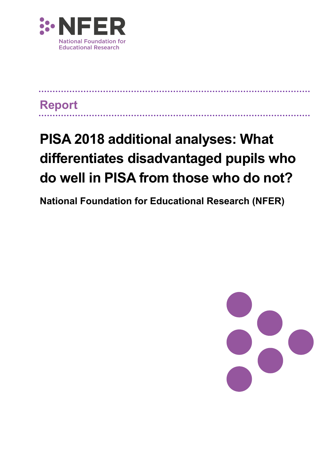

## **Report**

# **PISA 2018 additional analyses: What differentiates disadvantaged pupils who do well in PISA from those who do not?**

. . . . . . . . . . . . . . . . . . .

**National Foundation for Educational Research (NFER)**

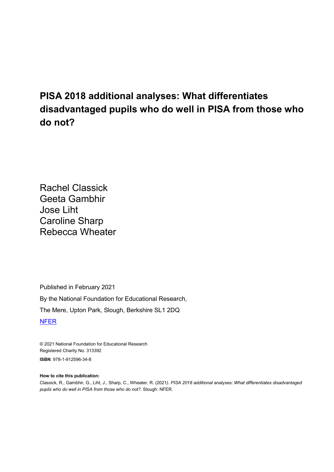## **PISA 2018 additional analyses: What differentiates disadvantaged pupils who do well in PISA from those who do not?**

Rachel Classick Geeta Gambhir Jose Liht Caroline Sharp Rebecca Wheater

Published in February 2021 By the National Foundation for Educational Research, The Mere, Upton Park, Slough, Berkshire SL1 2DQ [NFER](http://www.nfer.ac.uk/)

© 2021 National Foundation for Educational Research Registered Charity No. 313392 **ISBN**: 978-1-912596-34-8

#### **How to cite this publication:**

Classick, R., Gambhir, G., Liht, J., Sharp, C., Wheater, R. (2021*). PISA 2018 additional analyses: What differentiates disadvantaged pupils who do well in PISA from those who do not?*. Slough: NFER.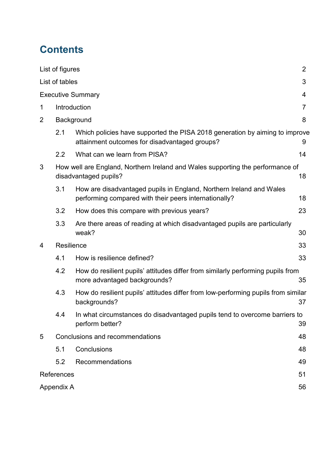## **Contents**

|                | List of figures                 |                                                                                                                              | $\overline{2}$ |  |  |
|----------------|---------------------------------|------------------------------------------------------------------------------------------------------------------------------|----------------|--|--|
|                | List of tables                  |                                                                                                                              | 3              |  |  |
|                | <b>Executive Summary</b><br>4   |                                                                                                                              |                |  |  |
| 1              |                                 | Introduction<br>7                                                                                                            |                |  |  |
| $\overline{2}$ |                                 | Background                                                                                                                   | 8              |  |  |
|                | 2.1                             | Which policies have supported the PISA 2018 generation by aiming to improve<br>attainment outcomes for disadvantaged groups? | 9              |  |  |
|                | 2.2                             | What can we learn from PISA?                                                                                                 | 14             |  |  |
| 3              |                                 | How well are England, Northern Ireland and Wales supporting the performance of<br>disadvantaged pupils?                      | 18             |  |  |
|                | 3.1                             | How are disadvantaged pupils in England, Northern Ireland and Wales<br>performing compared with their peers internationally? | 18             |  |  |
|                | 3.2                             | How does this compare with previous years?                                                                                   | 23             |  |  |
|                | 3.3                             | Are there areas of reading at which disadvantaged pupils are particularly<br>weak?                                           | 30             |  |  |
| 4              | Resilience                      |                                                                                                                              | 33             |  |  |
|                | 4.1                             | How is resilience defined?                                                                                                   | 33             |  |  |
|                | 4.2                             | How do resilient pupils' attitudes differ from similarly performing pupils from<br>more advantaged backgrounds?              | 35             |  |  |
|                | 4.3                             | How do resilient pupils' attitudes differ from low-performing pupils from similar<br>backgrounds?<br>37                      |                |  |  |
|                | 4.4                             | In what circumstances do disadvantaged pupils tend to overcome barriers to<br>perform better?                                | 39             |  |  |
| 5              | Conclusions and recommendations |                                                                                                                              |                |  |  |
|                | 5.1                             | Conclusions                                                                                                                  | 48             |  |  |
|                | 5.2                             | Recommendations                                                                                                              | 49             |  |  |
|                | References                      |                                                                                                                              | 51             |  |  |
|                | Appendix A                      |                                                                                                                              | 56             |  |  |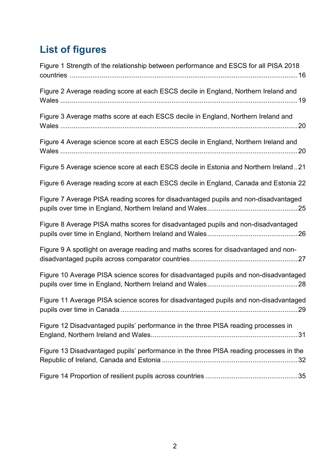## <span id="page-3-0"></span>**List of figures**

| Figure 1 Strength of the relationship between performance and ESCS for all PISA 2018   |
|----------------------------------------------------------------------------------------|
| Figure 2 Average reading score at each ESCS decile in England, Northern Ireland and    |
| Figure 3 Average maths score at each ESCS decile in England, Northern Ireland and      |
| Figure 4 Average science score at each ESCS decile in England, Northern Ireland and    |
| Figure 5 Average science score at each ESCS decile in Estonia and Northern Ireland21   |
| Figure 6 Average reading score at each ESCS decile in England, Canada and Estonia 22   |
| Figure 7 Average PISA reading scores for disadvantaged pupils and non-disadvantaged    |
| Figure 8 Average PISA maths scores for disadvantaged pupils and non-disadvantaged      |
| Figure 9 A spotlight on average reading and maths scores for disadvantaged and non-    |
| Figure 10 Average PISA science scores for disadvantaged pupils and non-disadvantaged   |
| Figure 11 Average PISA science scores for disadvantaged pupils and non-disadvantaged   |
| Figure 12 Disadvantaged pupils' performance in the three PISA reading processes in     |
| Figure 13 Disadvantaged pupils' performance in the three PISA reading processes in the |
|                                                                                        |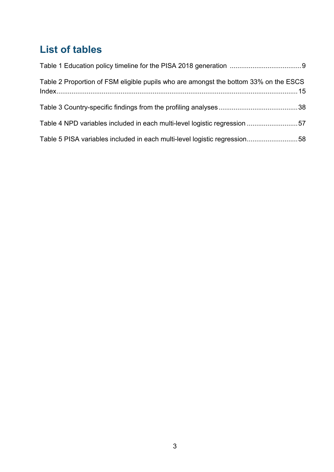## <span id="page-4-0"></span>**List of tables**

| Table 2 Proportion of FSM eligible pupils who are amongst the bottom 33% on the ESCS |  |
|--------------------------------------------------------------------------------------|--|
|                                                                                      |  |
| Table 4 NPD variables included in each multi-level logistic regression 57            |  |
| Table 5 PISA variables included in each multi-level logistic regression58            |  |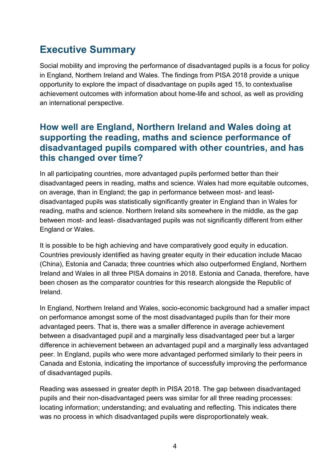## <span id="page-5-0"></span>**Executive Summary**

Social mobility and improving the performance of disadvantaged pupils is a focus for policy in England, Northern Ireland and Wales. The findings from PISA 2018 provide a unique opportunity to explore the impact of disadvantage on pupils aged 15, to contextualise achievement outcomes with information about home-life and school, as well as providing an international perspective.

### **How well are England, Northern Ireland and Wales doing at supporting the reading, maths and science performance of disadvantaged pupils compared with other countries, and has this changed over time?**

In all participating countries, more advantaged pupils performed better than their disadvantaged peers in reading, maths and science. Wales had more equitable outcomes, on average, than in England; the gap in performance between most- and leastdisadvantaged pupils was statistically significantly greater in England than in Wales for reading, maths and science. Northern Ireland sits somewhere in the middle, as the gap between most- and least- disadvantaged pupils was not significantly different from either England or Wales.

It is possible to be high achieving and have comparatively good equity in education. Countries previously identified as having greater equity in their education include Macao (China), Estonia and Canada; three countries which also outperformed England, Northern Ireland and Wales in all three PISA domains in 2018. Estonia and Canada, therefore, have been chosen as the comparator countries for this research alongside the Republic of Ireland.

In England, Northern Ireland and Wales, socio-economic background had a smaller impact on performance amongst some of the most disadvantaged pupils than for their more advantaged peers. That is, there was a smaller difference in average achievement between a disadvantaged pupil and a marginally less disadvantaged peer but a larger difference in achievement between an advantaged pupil and a marginally less advantaged peer. In England, pupils who were more advantaged performed similarly to their peers in Canada and Estonia, indicating the importance of successfully improving the performance of disadvantaged pupils.

Reading was assessed in greater depth in PISA 2018. The gap between disadvantaged pupils and their non-disadvantaged peers was similar for all three reading processes: locating information; understanding; and evaluating and reflecting. This indicates there was no process in which disadvantaged pupils were disproportionately weak.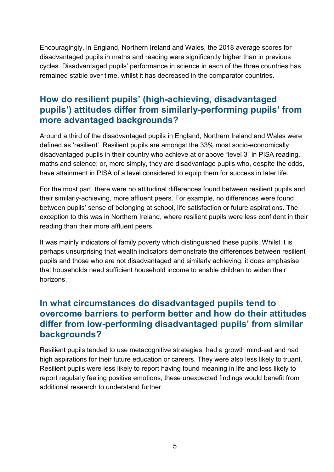Encouragingly, in England, Northern Ireland and Wales, the 2018 average scores for disadvantaged pupils in maths and reading were significantly higher than in previous cycles. Disadvantaged pupils' performance in science in each of the three countries has remained stable over time, whilst it has decreased in the comparator countries.

## **How do resilient pupils' (high-achieving, disadvantaged pupils') attitudes differ from similarly-performing pupils' from more advantaged backgrounds?**

Around a third of the disadvantaged pupils in England, Northern Ireland and Wales were defined as 'resilient'. Resilient pupils are amongst the 33% most socio-economically disadvantaged pupils in their country who achieve at or above "level 3" in PISA reading, maths and science; or, more simply, they are disadvantage pupils who, despite the odds, have attainment in PISA of a level considered to equip them for success in later life.

For the most part, there were no attitudinal differences found between resilient pupils and their similarly-achieving, more affluent peers. For example, no differences were found between pupils' sense of belonging at school, life satisfaction or future aspirations. The exception to this was in Northern Ireland, where resilient pupils were less confident in their reading than their more affluent peers.

It was mainly indicators of family poverty which distinguished these pupils. Whilst it is perhaps unsurprising that wealth indicators demonstrate the differences between resilient pupils and those who are not disadvantaged and similarly achieving, it does emphasise that households need sufficient household income to enable children to widen their horizons.

## **In what circumstances do disadvantaged pupils tend to overcome barriers to perform better and how do their attitudes differ from low-performing disadvantaged pupils' from similar backgrounds?**

Resilient pupils tended to use metacognitive strategies, had a growth mind-set and had high aspirations for their future education or careers. They were also less likely to truant. Resilient pupils were less likely to report having found meaning in life and less likely to report regularly feeling positive emotions; these unexpected findings would benefit from additional research to understand further.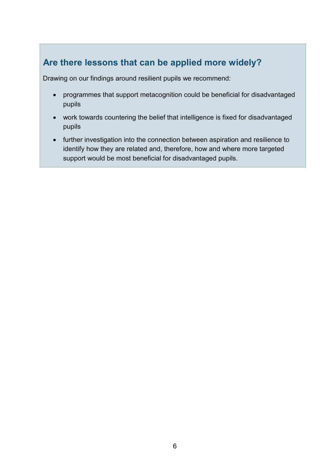## **Are there lessons that can be applied more widely?**

Drawing on our findings around resilient pupils we recommend:

- programmes that support metacognition could be beneficial for disadvantaged pupils
- work towards countering the belief that intelligence is fixed for disadvantaged pupils
- further investigation into the connection between aspiration and resilience to identify how they are related and, therefore, how and where more targeted support would be most beneficial for disadvantaged pupils.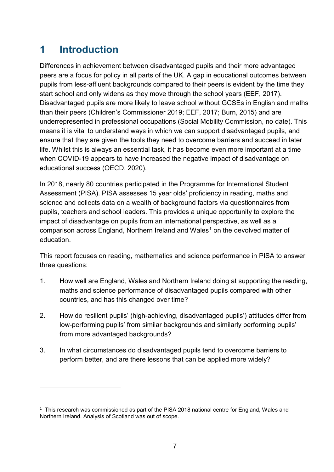## <span id="page-8-0"></span>**1 Introduction**

-

Differences in achievement between disadvantaged pupils and their more advantaged peers are a focus for policy in all parts of the UK. A gap in educational outcomes between pupils from less-affluent backgrounds compared to their peers is evident by the time they start school and only widens as they move through the school years (EEF, 2017). Disadvantaged pupils are more likely to leave school without GCSEs in English and maths than their peers (Children's Commissioner 2019; EEF, 2017; Burn, 2015) and are underrepresented in professional occupations (Social Mobility Commission, no date). This means it is vital to understand ways in which we can support disadvantaged pupils, and ensure that they are given the tools they need to overcome barriers and succeed in later life. Whilst this is always an essential task, it has become even more important at a time when COVID-19 appears to have increased the negative impact of disadvantage on educational success (OECD, 2020).

In 2018, nearly 80 countries participated in the Programme for International Student Assessment (PISA). PISA assesses 15 year olds' proficiency in reading, maths and science and collects data on a wealth of background factors via questionnaires from pupils, teachers and school leaders. This provides a unique opportunity to explore the impact of disadvantage on pupils from an international perspective, as well as a comparison across England, Northern Ireland and Wales<sup>[1](#page-8-1)</sup> on the devolved matter of education.

This report focuses on reading, mathematics and science performance in PISA to answer three questions:

- 1. How well are England, Wales and Northern Ireland doing at supporting the reading, maths and science performance of disadvantaged pupils compared with other countries, and has this changed over time?
- 2. How do resilient pupils' (high-achieving, disadvantaged pupils') attitudes differ from low-performing pupils' from similar backgrounds and similarly performing pupils' from more advantaged backgrounds?
- 3. In what circumstances do disadvantaged pupils tend to overcome barriers to perform better, and are there lessons that can be applied more widely?

<span id="page-8-1"></span><sup>&</sup>lt;sup>1</sup> This research was commissioned as part of the PISA 2018 national centre for England, Wales and Northern Ireland. Analysis of Scotland was out of scope.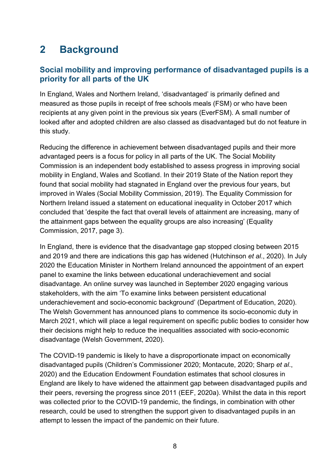## <span id="page-9-0"></span>**2 Background**

#### **Social mobility and improving performance of disadvantaged pupils is a priority for all parts of the UK**

In England, Wales and Northern Ireland, 'disadvantaged' is primarily defined and measured as those pupils in receipt of free schools meals (FSM) or who have been recipients at any given point in the previous six years (EverFSM). A small number of looked after and adopted children are also classed as disadvantaged but do not feature in this study.

Reducing the difference in achievement between disadvantaged pupils and their more advantaged peers is a focus for policy in all parts of the UK. The Social Mobility Commission is an independent body established to assess progress in improving social mobility in England, Wales and Scotland. In their 2019 State of the Nation report they found that social mobility had stagnated in England over the previous four years, but improved in Wales (Social Mobility Commission, 2019). The Equality Commission for Northern Ireland issued a statement on educational inequality in October 2017 which concluded that 'despite the fact that overall levels of attainment are increasing, many of the attainment gaps between the equality groups are also increasing' (Equality Commission, 2017, page 3).

In England, there is evidence that the disadvantage gap stopped closing between 2015 and 2019 and there are indications this gap has widened (Hutchinson *et al*., 2020). In July 2020 the Education Minister in Northern Ireland announced the appointment of an expert panel to examine the links between educational underachievement and social disadvantage. An online survey was launched in September 2020 engaging various stakeholders, with the aim 'To examine links between persistent educational underachievement and socio-economic background' (Department of Education, 2020). The Welsh Government has announced plans to commence its socio-economic duty in March 2021, which will place a legal requirement on specific public bodies to consider how their decisions might help to reduce the inequalities associated with socio-economic disadvantage (Welsh Government, 2020).

The COVID-19 pandemic is likely to have a disproportionate impact on economically disadvantaged pupils (Children's Commissioner 2020; Montacute, 2020; Sharp *et al*., 2020) and the Education Endowment Foundation estimates that school closures in England are likely to have widened the attainment gap between disadvantaged pupils and their peers, reversing the progress since 2011 (EEF, 2020a). Whilst the data in this report was collected prior to the COVID-19 pandemic, the findings, in combination with other research, could be used to strengthen the support given to disadvantaged pupils in an attempt to lessen the impact of the pandemic on their future.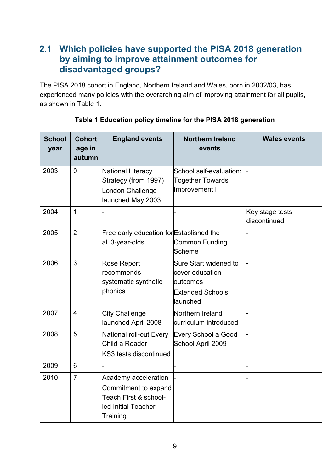## <span id="page-10-0"></span>**2.1 Which policies have supported the PISA 2018 generation by aiming to improve attainment outcomes for disadvantaged groups?**

The PISA 2018 cohort in England, Northern Ireland and Wales, born in 2002/03, has experienced many policies with the overarching aim of improving attainment for all pupils, as shown in Table 1.

<span id="page-10-1"></span>

| <b>School</b><br>year | <b>Cohort</b><br>age in<br>autumn | <b>England events</b>                                                                                    | <b>Northern Ireland</b><br>events                                                            | <b>Wales events</b>             |
|-----------------------|-----------------------------------|----------------------------------------------------------------------------------------------------------|----------------------------------------------------------------------------------------------|---------------------------------|
| 2003                  | $\overline{0}$                    | National Literacy<br>Strategy (from 1997)<br>London Challenge<br>launched May 2003                       | School self-evaluation:<br><b>Together Towards</b><br>Improvement I                          |                                 |
| 2004                  | $\mathbf{1}$                      |                                                                                                          |                                                                                              | Key stage tests<br>discontinued |
| 2005                  | $\overline{2}$                    | Free early education for Established the<br>all 3-year-olds                                              | <b>Common Funding</b><br>Scheme                                                              |                                 |
| 2006                  | 3                                 | <b>Rose Report</b><br>recommends<br>systematic synthetic<br>phonics                                      | Sure Start widened to<br>cover education<br>loutcomes<br><b>Extended Schools</b><br>launched |                                 |
| 2007                  | $\overline{4}$                    | <b>City Challenge</b><br>launched April 2008                                                             | Northern Ireland<br>curriculum introduced                                                    |                                 |
| 2008                  | 5                                 | National roll-out Every<br>Child a Reader<br>KS3 tests discontinued                                      | Every School a Good<br>School April 2009                                                     |                                 |
| 2009                  | 6                                 |                                                                                                          |                                                                                              |                                 |
| 2010                  | $\overline{7}$                    | Academy acceleration<br>Commitment to expand<br>Teach First & school-<br>led Initial Teacher<br>Training |                                                                                              |                                 |

**Table 1 Education policy timeline for the PISA 2018 generation**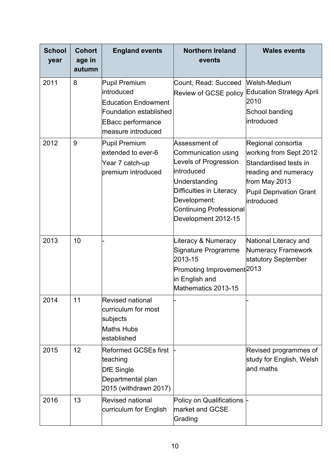| <b>School</b><br>year | <b>Cohort</b><br>age in<br>autumn | <b>England events</b>                                                                                                                         | <b>Northern Ireland</b><br>events                                                                                                                                                           | <b>Wales events</b>                                                                                                                                            |
|-----------------------|-----------------------------------|-----------------------------------------------------------------------------------------------------------------------------------------------|---------------------------------------------------------------------------------------------------------------------------------------------------------------------------------------------|----------------------------------------------------------------------------------------------------------------------------------------------------------------|
| 2011                  | 8                                 | Pupil Premium<br>lintroduced<br><b>Education Endowment</b><br><b>Foundation established</b><br><b>EBacc performance</b><br>measure introduced | Count, Read: Succeed<br><b>Review of GCSE policy</b>                                                                                                                                        | Welsh-Medium<br><b>Education Strategy April</b><br>2010<br>School banding<br>introduced                                                                        |
| 2012                  | 9                                 | Pupil Premium<br>extended to ever-6<br>Year 7 catch-up<br>premium introduced                                                                  | Assessment of<br>Communication using<br>Levels of Progression<br>lintroduced<br>Understanding<br>Difficulties in Literacy<br>Development:<br>Continuing Professional<br>Development 2012-15 | Regional consortia<br>working from Sept 2012<br>Standardised tests in<br>reading and numeracy<br>from May 2013<br><b>Pupil Deprivation Grant</b><br>introduced |
| 2013                  | 10                                |                                                                                                                                               | Literacy & Numeracy<br>Signature Programme<br>2013-15<br>Promoting Improvement <sup> 2013</sup><br>in English and<br>Mathematics 2013-15                                                    | National Literacy and<br>Numeracy Framework<br>statutory September                                                                                             |
| 2014                  | 11                                | <b>Revised national</b><br>curriculum for most<br>subjects<br><b>Maths Hubs</b><br>established                                                |                                                                                                                                                                                             |                                                                                                                                                                |
| 2015                  | 12                                | <b>Reformed GCSEs first</b><br>teaching<br><b>DfE</b> Single<br>Departmental plan<br>2015 (withdrawn 2017)                                    |                                                                                                                                                                                             | Revised programmes of<br>study for English, Welsh<br>and maths                                                                                                 |
| 2016                  | 13                                | <b>Revised national</b><br>curriculum for English                                                                                             | Policy on Qualifications<br>market and GCSE<br>Grading                                                                                                                                      |                                                                                                                                                                |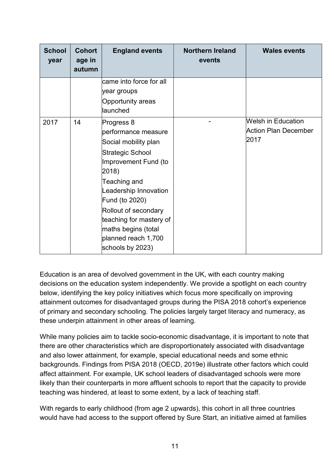| <b>School</b><br>year | <b>Cohort</b><br>age in<br>autumn | <b>England events</b>                                                                                                                                                                                                                                                                                 | <b>Northern Ireland</b><br>events | <b>Wales events</b>                                       |
|-----------------------|-----------------------------------|-------------------------------------------------------------------------------------------------------------------------------------------------------------------------------------------------------------------------------------------------------------------------------------------------------|-----------------------------------|-----------------------------------------------------------|
|                       |                                   | came into force for all<br>year groups<br><b>Opportunity areas</b><br>launched                                                                                                                                                                                                                        |                                   |                                                           |
| 2017                  | 14                                | Progress 8<br>performance measure<br>Social mobility plan<br><b>Strategic School</b><br>Improvement Fund (to<br>2018)<br>Teaching and<br>Leadership Innovation<br>Fund (to 2020)<br>Rollout of secondary<br>teaching for mastery of<br>maths begins (total<br>planned reach 1,700<br>schools by 2023) |                                   | <b>Welsh in Education</b><br>Action Plan December<br>2017 |

Education is an area of devolved government in the UK, with each country making decisions on the education system independently. We provide a spotlight on each country below, identifying the key policy initiatives which focus more specifically on improving attainment outcomes for disadvantaged groups during the PISA 2018 cohort's experience of primary and secondary schooling. The policies largely target literacy and numeracy, as these underpin attainment in other areas of learning.

While many policies aim to tackle socio-economic disadvantage, it is important to note that there are other characteristics which are disproportionately associated with disadvantage and also lower attainment, for example, special educational needs and some ethnic backgrounds. Findings from PISA 2018 (OECD, 2019e) illustrate other factors which could affect attainment. For example, UK school leaders of disadvantaged schools were more likely than their counterparts in more affluent schools to report that the capacity to provide teaching was hindered, at least to some extent, by a lack of teaching staff.

With regards to early childhood (from age 2 upwards), this cohort in all three countries would have had access to the support offered by Sure Start, an initiative aimed at families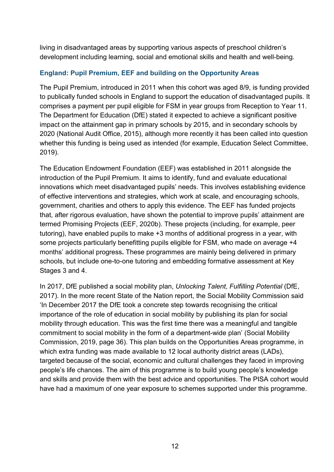living in disadvantaged areas by supporting various aspects of preschool children's development including learning, social and emotional skills and health and well-being.

#### **England: Pupil Premium, EEF and building on the Opportunity Areas**

The Pupil Premium, introduced in 2011 when this cohort was aged 8/9, is funding provided to publically funded schools in England to support the education of disadvantaged pupils. It comprises a payment per pupil eligible for FSM in year groups from Reception to Year 11. The Department for Education (DfE) stated it expected to achieve a significant positive impact on the attainment gap in primary schools by 2015, and in secondary schools by 2020 (National Audit Office, 2015), although more recently it has been called into question whether this funding is being used as intended (for example, Education Select Committee, 2019).

The Education Endowment Foundation (EEF) was established in 2011 alongside the introduction of the Pupil Premium. It aims to identify, fund and evaluate educational innovations which meet disadvantaged pupils' needs. This involves establishing evidence of effective interventions and strategies, which work at scale, and encouraging schools, government, charities and others to apply this evidence. The EEF has funded projects that, after rigorous evaluation, have shown the potential to improve pupils' attainment are termed Promising Projects (EEF, 2020b). These projects (including, for example, peer tutoring), have enabled pupils to make +3 months of additional progress in a year, with some projects particularly benefitting pupils eligible for FSM, who made on average +4 months' additional progress**.** These programmes are mainly being delivered in primary schools, but include one-to-one tutoring and embedding formative assessment at Key Stages 3 and 4.

In 2017, DfE published a social mobility plan, *Unlocking Talent, Fulfilling Potential* (DfE, 2017). In the more recent State of the Nation report, the Social Mobility Commission said 'In December 2017 the DfE took a concrete step towards recognising the critical importance of the role of education in social mobility by publishing its plan for social mobility through education. This was the first time there was a meaningful and tangible commitment to social mobility in the form of a department-wide plan' (Social Mobility Commission, 2019, page 36). This plan builds on the Opportunities Areas programme, in which extra funding was made available to 12 local authority district areas (LADs), targeted because of the social, economic and cultural challenges they faced in improving people's life chances. The aim of this programme is to build young people's knowledge and skills and provide them with the best advice and opportunities. The PISA cohort would have had a maximum of one year exposure to schemes supported under this programme.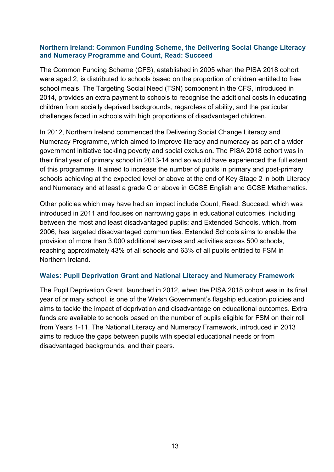#### **Northern Ireland: Common Funding Scheme, the Delivering Social Change Literacy and Numeracy Programme and Count, Read: Succeed**

The Common Funding Scheme (CFS), established in 2005 when the PISA 2018 cohort were aged 2, is distributed to schools based on the proportion of children entitled to free school meals. The Targeting Social Need (TSN) component in the CFS, introduced in 2014, provides an extra payment to schools to recognise the additional costs in educating children from socially deprived backgrounds, regardless of ability, and the particular challenges faced in schools with high proportions of disadvantaged children.

In 2012, Northern Ireland commenced the Delivering Social Change Literacy and Numeracy Programme, which aimed to improve literacy and numeracy as part of a wider government initiative tackling poverty and social exclusion**.** The PISA 2018 cohort was in their final year of primary school in 2013-14 and so would have experienced the full extent of this programme. It aimed to increase the number of pupils in primary and post-primary schools achieving at the expected level or above at the end of Key Stage 2 in both Literacy and Numeracy and at least a grade C or above in GCSE English and GCSE Mathematics.

Other policies which may have had an impact include Count, Read: Succeed: which was introduced in 2011 and focuses on narrowing gaps in educational outcomes, including between the most and least disadvantaged pupils; and Extended Schools, which, from 2006, has targeted disadvantaged communities. Extended Schools aims to enable the provision of more than 3,000 additional services and activities across 500 schools, reaching approximately 43% of all schools and 63% of all pupils entitled to FSM in Northern Ireland.

#### **Wales: Pupil Deprivation Grant and National Literacy and Numeracy Framework**

The Pupil Deprivation Grant, launched in 2012, when the PISA 2018 cohort was in its final year of primary school, is one of the Welsh Government's flagship education policies and aims to tackle the impact of deprivation and disadvantage on educational outcomes. Extra funds are available to schools based on the number of pupils eligible for FSM on their roll from Years 1-11. The National Literacy and Numeracy Framework, introduced in 2013 aims to reduce the gaps between pupils with special educational needs or from disadvantaged backgrounds, and their peers.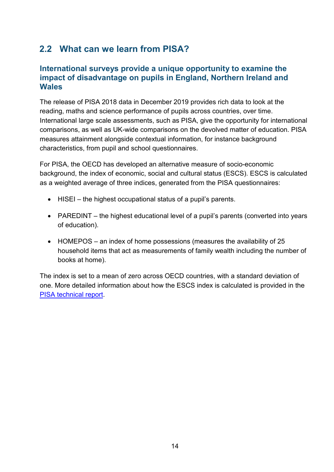## <span id="page-15-0"></span>**2.2 What can we learn from PISA?**

#### **International surveys provide a unique opportunity to examine the impact of disadvantage on pupils in England, Northern Ireland and Wales**

The release of PISA 2018 data in December 2019 provides rich data to look at the reading, maths and science performance of pupils across countries, over time. International large scale assessments, such as PISA, give the opportunity for international comparisons, as well as UK-wide comparisons on the devolved matter of education. PISA measures attainment alongside contextual information, for instance background characteristics, from pupil and school questionnaires.

For PISA, the OECD has developed an alternative measure of socio-economic background, the index of economic, social and cultural status (ESCS). ESCS is calculated as a weighted average of three indices, generated from the PISA questionnaires:

- HISEI the highest occupational status of a pupil's parents.
- PAREDINT the highest educational level of a pupil's parents (converted into years of education).
- HOMEPOS an index of home possessions (measures the availability of 25 household items that act as measurements of family wealth including the number of books at home).

The index is set to a mean of zero across OECD countries, with a standard deviation of one. More detailed information about how the ESCS index is calculated is provided in the [PISA technical report.](https://www.oecd.org/pisa/data/pisa2018technicalreport/PISA2018_Technical-Report-Chapter-16-Background-Questionnaires.pdf)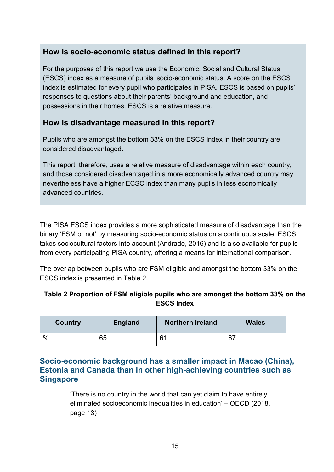### **How is socio-economic status defined in this report?**

For the purposes of this report we use the Economic, Social and Cultural Status (ESCS) index as a measure of pupils' socio-economic status. A score on the ESCS index is estimated for every pupil who participates in PISA. ESCS is based on pupils' responses to questions about their parents' background and education, and possessions in their homes. ESCS is a relative measure.

#### **How is disadvantage measured in this report?**

Pupils who are amongst the bottom 33% on the ESCS index in their country are considered disadvantaged.

This report, therefore, uses a relative measure of disadvantage within each country, and those considered disadvantaged in a more economically advanced country may nevertheless have a higher ECSC index than many pupils in less economically advanced countries.

The PISA ESCS index provides a more sophisticated measure of disadvantage than the binary 'FSM or not' by measuring socio-economic status on a continuous scale. ESCS takes sociocultural factors into account (Andrade, 2016) and is also available for pupils from every participating PISA country, offering a means for international comparison.

The overlap between pupils who are FSM eligible and amongst the bottom 33% on the ESCS index is presented in Table 2.

#### <span id="page-16-0"></span>**Table 2 Proportion of FSM eligible pupils who are amongst the bottom 33% on the ESCS Index**

| Country | <b>England</b> | <b>Northern Ireland</b> | <b>Wales</b> |
|---------|----------------|-------------------------|--------------|
| $\%$    | 65             | 61                      | 67           |

#### **Socio-economic background has a smaller impact in Macao (China), Estonia and Canada than in other high-achieving countries such as Singapore**

'There is no country in the world that can yet claim to have entirely eliminated socioeconomic inequalities in education' – OECD (2018, page 13)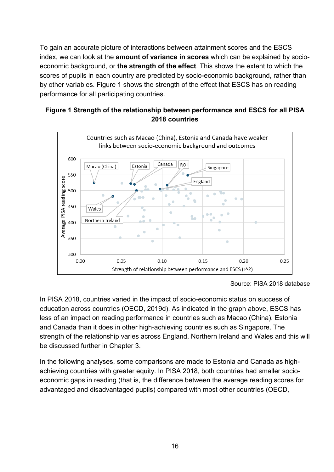To gain an accurate picture of interactions between attainment scores and the ESCS index, we can look at the **amount of variance in scores** which can be explained by socioeconomic background, or **the strength of the effect**. This shows the extent to which the scores of pupils in each country are predicted by socio-economic background, rather than by other variables. Figure 1 shows the strength of the effect that ESCS has on reading performance for all participating countries.

#### <span id="page-17-0"></span>**Figure 1 Strength of the relationship between performance and ESCS for all PISA 2018 countries**



Source: PISA 2018 database

In PISA 2018, countries varied in the impact of socio-economic status on success of education across countries (OECD, 2019d). As indicated in the graph above, ESCS has less of an impact on reading performance in countries such as Macao (China), Estonia and Canada than it does in other high-achieving countries such as Singapore. The strength of the relationship varies across England, Northern Ireland and Wales and this will be discussed further in Chapter 3.

In the following analyses, some comparisons are made to Estonia and Canada as highachieving countries with greater equity. In PISA 2018, both countries had smaller socioeconomic gaps in reading (that is, the difference between the average reading scores for advantaged and disadvantaged pupils) compared with most other countries (OECD,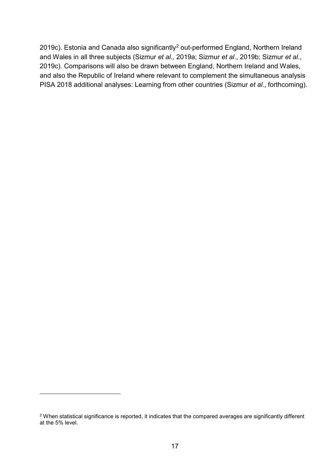[2](#page-18-0)019c). Estonia and Canada also significantly<sup>2</sup> out-performed England, Northern Ireland and Wales in all three subjects (Sizmur *et al*.*,* 2019a; Sizmur *et al*., 2019b; Sizmur *et al*., 2019c). Comparisons will also be drawn between England, Northern Ireland and Wales, and also the Republic of Ireland where relevant to complement the simultaneous analysis PISA 2018 additional analyses: Learning from other countries (Sizmur *et al*., forthcoming).

-

<span id="page-18-0"></span><sup>2</sup> When statistical significance is reported, it indicates that the compared averages are significantly different at the 5% level.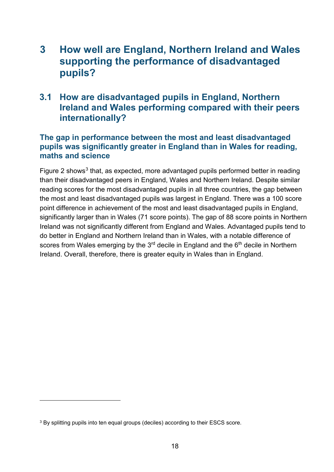## <span id="page-19-0"></span>**3 How well are England, Northern Ireland and Wales supporting the performance of disadvantaged pupils?**

## <span id="page-19-1"></span>**3.1 How are disadvantaged pupils in England, Northern Ireland and Wales performing compared with their peers internationally?**

#### **The gap in performance between the most and least disadvantaged pupils was significantly greater in England than in Wales for reading, maths and science**

Figure 2 shows<sup>[3](#page-19-2)</sup> that, as expected, more advantaged pupils performed better in reading than their disadvantaged peers in England, Wales and Northern Ireland. Despite similar reading scores for the most disadvantaged pupils in all three countries, the gap between the most and least disadvantaged pupils was largest in England. There was a 100 score point difference in achievement of the most and least disadvantaged pupils in England, significantly larger than in Wales (71 score points). The gap of 88 score points in Northern Ireland was not significantly different from England and Wales. Advantaged pupils tend to do better in England and Northern Ireland than in Wales, with a notable difference of scores from Wales emerging by the  $3<sup>rd</sup>$  decile in England and the  $6<sup>th</sup>$  decile in Northern Ireland. Overall, therefore, there is greater equity in Wales than in England.

-

<span id="page-19-2"></span><sup>&</sup>lt;sup>3</sup> By splitting pupils into ten equal groups (deciles) according to their ESCS score.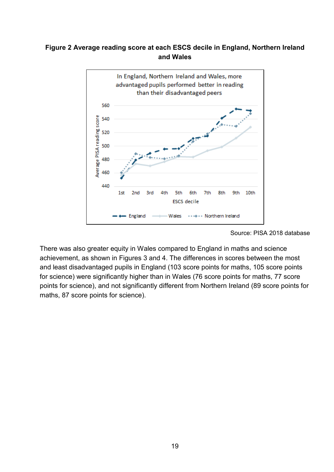#### <span id="page-20-0"></span>**Figure 2 Average reading score at each ESCS decile in England, Northern Ireland and Wales**



Source: PISA 2018 database

There was also greater equity in Wales compared to England in maths and science achievement, as shown in Figures 3 and 4. The differences in scores between the most and least disadvantaged pupils in England (103 score points for maths, 105 score points for science) were significantly higher than in Wales (76 score points for maths, 77 score points for science), and not significantly different from Northern Ireland (89 score points for maths, 87 score points for science).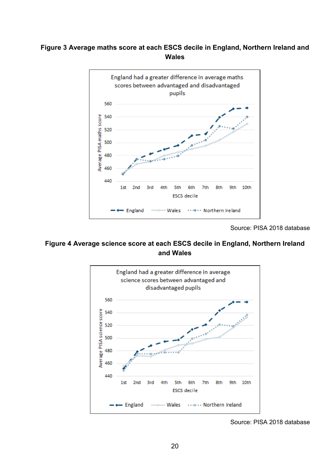#### <span id="page-21-0"></span>**Figure 3 Average maths score at each ESCS decile in England, Northern Ireland and Wales**



Source: PISA 2018 database

#### <span id="page-21-1"></span>**Figure 4 Average science score at each ESCS decile in England, Northern Ireland and Wales**



Source: PISA 2018 database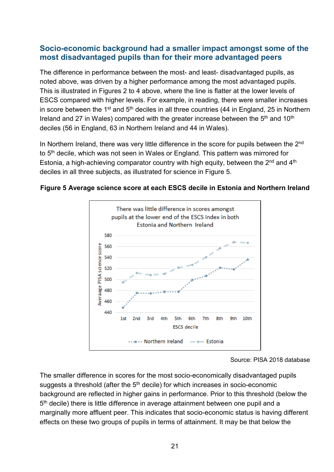#### **Socio-economic background had a smaller impact amongst some of the most disadvantaged pupils than for their more advantaged peers**

The difference in performance between the most- and least- disadvantaged pupils, as noted above, was driven by a higher performance among the most advantaged pupils. This is illustrated in Figures 2 to 4 above, where the line is flatter at the lower levels of ESCS compared with higher levels. For example, in reading, there were smaller increases in score between the 1<sup>st</sup> and 5<sup>th</sup> deciles in all three countries (44 in England, 25 in Northern Ireland and 27 in Wales) compared with the greater increase between the  $5<sup>th</sup>$  and  $10<sup>th</sup>$ deciles (56 in England, 63 in Northern Ireland and 44 in Wales).

In Northern Ireland, there was very little difference in the score for pupils between the 2<sup>nd</sup> to 5<sup>th</sup> decile, which was not seen in Wales or England. This pattern was mirrored for Estonia, a high-achieving comparator country with high equity, between the  $2<sup>nd</sup>$  and  $4<sup>th</sup>$ deciles in all three subjects, as illustrated for science in Figure 5.



<span id="page-22-0"></span>**Figure 5 Average science score at each ESCS decile in Estonia and Northern Ireland**

The smaller difference in scores for the most socio-economically disadvantaged pupils suggests a threshold (after the  $5<sup>th</sup>$  decile) for which increases in socio-economic background are reflected in higher gains in performance. Prior to this threshold (below the 5<sup>th</sup> decile) there is little difference in average attainment between one pupil and a marginally more affluent peer. This indicates that socio-economic status is having different effects on these two groups of pupils in terms of attainment. It may be that below the

Source: PISA 2018 database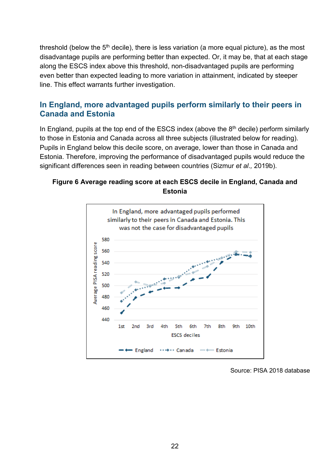threshold (below the  $5<sup>th</sup>$  decile), there is less variation (a more equal picture), as the most disadvantage pupils are performing better than expected. Or, it may be, that at each stage along the ESCS index above this threshold, non-disadvantaged pupils are performing even better than expected leading to more variation in attainment, indicated by steeper line. This effect warrants further investigation.

#### **In England, more advantaged pupils perform similarly to their peers in Canada and Estonia**

In England, pupils at the top end of the ESCS index (above the  $8<sup>th</sup>$  decile) perform similarly to those in Estonia and Canada across all three subjects (illustrated below for reading). Pupils in England below this decile score, on average, lower than those in Canada and Estonia. Therefore, improving the performance of disadvantaged pupils would reduce the significant differences seen in reading between countries (Sizmur *et al*.*,* 2019b).

#### <span id="page-23-0"></span>**Figure 6 Average reading score at each ESCS decile in England, Canada and Estonia**



Source: PISA 2018 database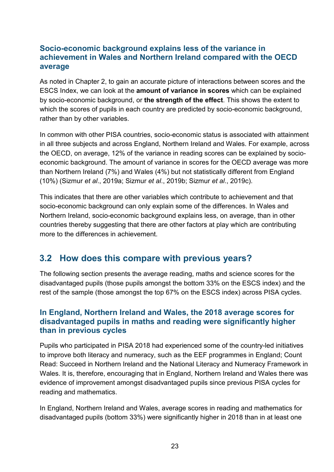#### **Socio-economic background explains less of the variance in achievement in Wales and Northern Ireland compared with the OECD average**

As noted in Chapter 2, to gain an accurate picture of interactions between scores and the ESCS Index, we can look at the **amount of variance in scores** which can be explained by socio-economic background, or **the strength of the effect**. This shows the extent to which the scores of pupils in each country are predicted by socio-economic background, rather than by other variables.

In common with other PISA countries, socio-economic status is associated with attainment in all three subjects and across England, Northern Ireland and Wales. For example, across the OECD, on average, 12% of the variance in reading scores can be explained by socioeconomic background. The amount of variance in scores for the OECD average was more than Northern Ireland (7%) and Wales (4%) but not statistically different from England (10%) (Sizmur *et al*., 2019a; Sizmur *et al*., 2019b; Sizmur *et al*., 2019c).

This indicates that there are other variables which contribute to achievement and that socio-economic background can only explain some of the differences. In Wales and Northern Ireland, socio-economic background explains less, on average, than in other countries thereby suggesting that there are other factors at play which are contributing more to the differences in achievement.

## <span id="page-24-0"></span>**3.2 How does this compare with previous years?**

The following section presents the average reading, maths and science scores for the disadvantaged pupils (those pupils amongst the bottom 33% on the ESCS index) and the rest of the sample (those amongst the top 67% on the ESCS index) across PISA cycles.

#### **In England, Northern Ireland and Wales, the 2018 average scores for disadvantaged pupils in maths and reading were significantly higher than in previous cycles**

Pupils who participated in PISA 2018 had experienced some of the country-led initiatives to improve both literacy and numeracy, such as the EEF programmes in England; Count Read: Succeed in Northern Ireland and the National Literacy and Numeracy Framework in Wales. It is, therefore, encouraging that in England, Northern Ireland and Wales there was evidence of improvement amongst disadvantaged pupils since previous PISA cycles for reading and mathematics.

In England, Northern Ireland and Wales, average scores in reading and mathematics for disadvantaged pupils (bottom 33%) were significantly higher in 2018 than in at least one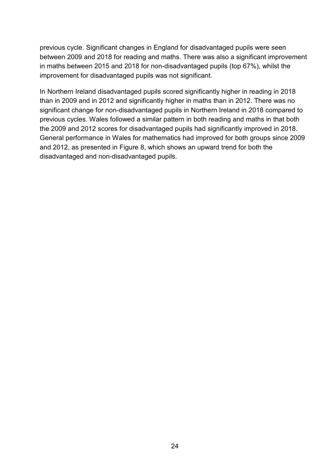previous cycle. Significant changes in England for disadvantaged pupils were seen between 2009 and 2018 for reading and maths. There was also a significant improvement in maths between 2015 and 2018 for non-disadvantaged pupils (top 67%), whilst the improvement for disadvantaged pupils was not significant.

In Northern Ireland disadvantaged pupils scored significantly higher in reading in 2018 than in 2009 and in 2012 and significantly higher in maths than in 2012. There was no significant change for non-disadvantaged pupils in Northern Ireland in 2018 compared to previous cycles. Wales followed a similar pattern in both reading and maths in that both the 2009 and 2012 scores for disadvantaged pupils had significantly improved in 2018. General performance in Wales for mathematics had improved for both groups since 2009 and 2012, as presented in Figure 8, which shows an upward trend for both the disadvantaged and non-disadvantaged pupils.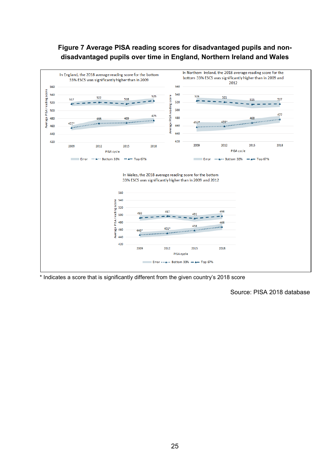#### <span id="page-26-0"></span>**Figure 7 Average PISA reading scores for disadvantaged pupils and nondisadvantaged pupils over time in England, Northern Ireland and Wales**



\* Indicates a score that is significantly different from the given country's 2018 score

Source: PISA 2018 database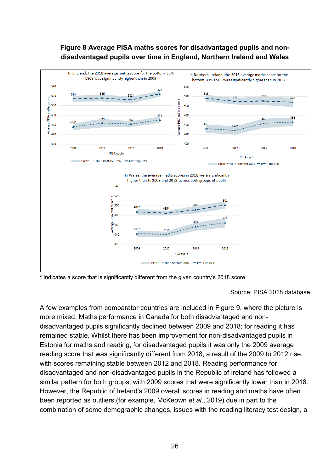#### **Figure 8 Average PISA maths scores for disadvantaged pupils and nondisadvantaged pupils over time in England, Northern Ireland and Wales**

<span id="page-27-0"></span>

\* Indicates a score that is significantly different from the given country's 2018 score

#### Source: PISA 2018 database

A few examples from comparator countries are included in Figure 9, where the picture is more mixed. Maths performance in Canada for both disadvantaged and nondisadvantaged pupils significantly declined between 2009 and 2018; for reading it has remained stable. Whilst there has been improvement for non-disadvantaged pupils in Estonia for maths and reading, for disadvantaged pupils it was only the 2009 average reading score that was significantly different from 2018, a result of the 2009 to 2012 rise, with scores remaining stable between 2012 and 2018. Reading performance for disadvantaged and non-disadvantaged pupils in the Republic of Ireland has followed a similar pattern for both groups, with 2009 scores that were significantly lower than in 2018. However, the Republic of Ireland's 2009 overall scores in reading and maths have often been reported as outliers (for example, McKeown *et al*., 2019) due in part to the combination of some demographic changes, issues with the reading literacy test design, a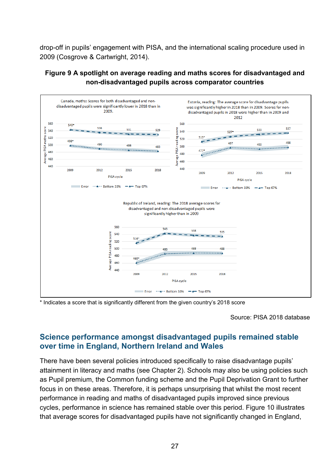drop-off in pupils' engagement with PISA, and the international scaling procedure used in 2009 (Cosgrove & Cartwright, 2014).

#### <span id="page-28-0"></span>**Figure 9 A spotlight on average reading and maths scores for disadvantaged and non-disadvantaged pupils across comparator countries**



\* Indicates a score that is significantly different from the given country's 2018 score

Source: PISA 2018 database

#### **Science performance amongst disadvantaged pupils remained stable over time in England, Northern Ireland and Wales**

There have been several policies introduced specifically to raise disadvantage pupils' attainment in literacy and maths (see Chapter 2). Schools may also be using policies such as Pupil premium, the Common funding scheme and the Pupil Deprivation Grant to further focus in on these areas. Therefore, it is perhaps unsurprising that whilst the most recent performance in reading and maths of disadvantaged pupils improved since previous cycles, performance in science has remained stable over this period. Figure 10 illustrates that average scores for disadvantaged pupils have not significantly changed in England,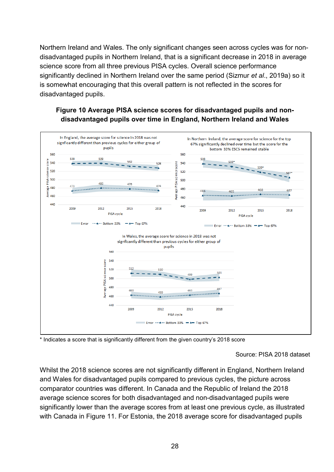Northern Ireland and Wales. The only significant changes seen across cycles was for nondisadvantaged pupils in Northern Ireland, that is a significant decrease in 2018 in average science score from all three previous PISA cycles. Overall science performance significantly declined in Northern Ireland over the same period (Sizmur *et al*., 2019a) so it is somewhat encouraging that this overall pattern is not reflected in the scores for disadvantaged pupils.

#### <span id="page-29-0"></span>**Figure 10 Average PISA science scores for disadvantaged pupils and nondisadvantaged pupils over time in England, Northern Ireland and Wales**



\* Indicates a score that is significantly different from the given country's 2018 score

Source: PISA 2018 dataset

Whilst the 2018 science scores are not significantly different in England, Northern Ireland and Wales for disadvantaged pupils compared to previous cycles, the picture across comparator countries was different. In Canada and the Republic of Ireland the 2018 average science scores for both disadvantaged and non-disadvantaged pupils were significantly lower than the average scores from at least one previous cycle, as illustrated with Canada in Figure 11. For Estonia, the 2018 average score for disadvantaged pupils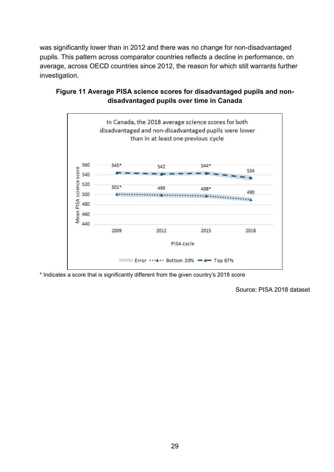was significantly lower than in 2012 and there was no change for non-disadvantaged pupils. This pattern across comparator countries reflects a decline in performance, on average, across OECD countries since 2012, the reason for which still warrants further investigation.



#### <span id="page-30-0"></span>**Figure 11 Average PISA science scores for disadvantaged pupils and nondisadvantaged pupils over time in Canada**

\* Indicates a score that is significantly different from the given country's 2018 score

Source: PISA 2018 dataset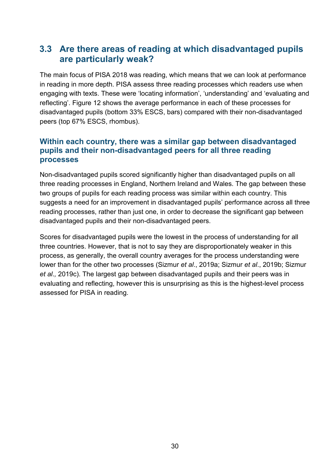## <span id="page-31-0"></span>**3.3 Are there areas of reading at which disadvantaged pupils are particularly weak?**

The main focus of PISA 2018 was reading, which means that we can look at performance in reading in more depth. PISA assess three reading processes which readers use when engaging with texts. These were 'locating information', 'understanding' and 'evaluating and reflecting'. Figure 12 shows the average performance in each of these processes for disadvantaged pupils (bottom 33% ESCS, bars) compared with their non-disadvantaged peers (top 67% ESCS, rhombus).

#### **Within each country, there was a similar gap between disadvantaged pupils and their non-disadvantaged peers for all three reading processes**

Non-disadvantaged pupils scored significantly higher than disadvantaged pupils on all three reading processes in England, Northern Ireland and Wales. The gap between these two groups of pupils for each reading process was similar within each country. This suggests a need for an improvement in disadvantaged pupils' performance across all three reading processes, rather than just one, in order to decrease the significant gap between disadvantaged pupils and their non-disadvantaged peers.

Scores for disadvantaged pupils were the lowest in the process of understanding for all three countries. However, that is not to say they are disproportionately weaker in this process, as generally, the overall country averages for the process understanding were lower than for the other two processes (Sizmur *et al*., 2019a; Sizmur *et al*., 2019b; Sizmur *et al*.*,* 2019c). The largest gap between disadvantaged pupils and their peers was in evaluating and reflecting, however this is unsurprising as this is the highest-level process assessed for PISA in reading.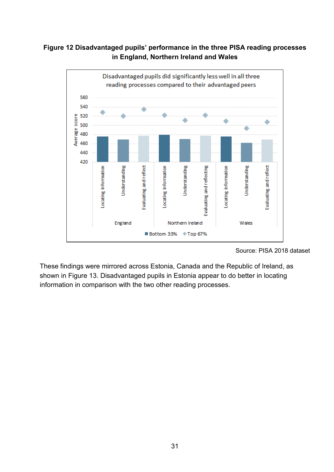#### <span id="page-32-0"></span>**Figure 12 Disadvantaged pupils' performance in the three PISA reading processes in England, Northern Ireland and Wales**



Source: PISA 2018 dataset

These findings were mirrored across Estonia, Canada and the Republic of Ireland, as shown in Figure 13. Disadvantaged pupils in Estonia appear to do better in locating information in comparison with the two other reading processes.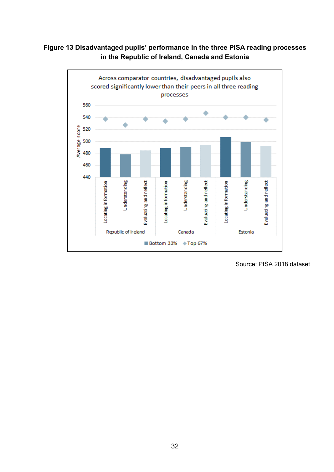#### <span id="page-33-0"></span>**Figure 13 Disadvantaged pupils' performance in the three PISA reading processes in the Republic of Ireland, Canada and Estonia**



Source: PISA 2018 dataset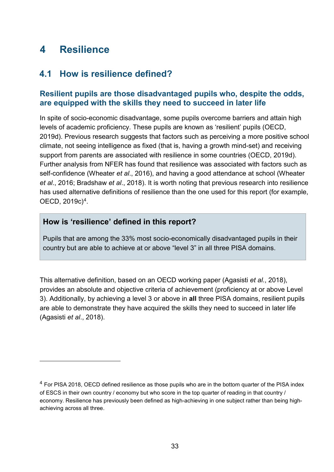## <span id="page-34-0"></span>**4 Resilience**

-

### <span id="page-34-1"></span>**4.1 How is resilience defined?**

#### **Resilient pupils are those disadvantaged pupils who, despite the odds, are equipped with the skills they need to succeed in later life**

In spite of socio-economic disadvantage, some pupils overcome barriers and attain high levels of academic proficiency. These pupils are known as 'resilient' pupils (OECD, 2019d). Previous research suggests that factors such as perceiving a more positive school climate, not seeing intelligence as fixed (that is, having a growth mind-set) and receiving support from parents are associated with resilience in some countries (OECD, 2019d). Further analysis from NFER has found that resilience was associated with factors such as self-confidence (Wheater *et al*., 2016), and having a good attendance at school (Wheater *et al*., 2016; Bradshaw *et al*., 2018). It is worth noting that previous research into resilience has used alternative definitions of resilience than the one used for this report (for example, OECD, 2019c)[4.](#page-34-2)

#### **How is 'resilience' defined in this report?**

Pupils that are among the 33% most socio-economically disadvantaged pupils in their country but are able to achieve at or above "level 3" in all three PISA domains.

This alternative definition, based on an OECD working paper (Agasisti *et al.*, 2018), provides an absolute and objective criteria of achievement (proficiency at or above Level 3). Additionally, by achieving a level 3 or above in **all** three PISA domains, resilient pupils are able to demonstrate they have acquired the skills they need to succeed in later life (Agasisti *et al*., 2018).

<span id="page-34-2"></span><sup>&</sup>lt;sup>4</sup> For PISA 2018, OECD defined resilience as those pupils who are in the bottom quarter of the PISA index of ESCS in their own country / economy but who score in the top quarter of reading in that country / economy. Resilience has previously been defined as high-achieving in one subject rather than being highachieving across all three.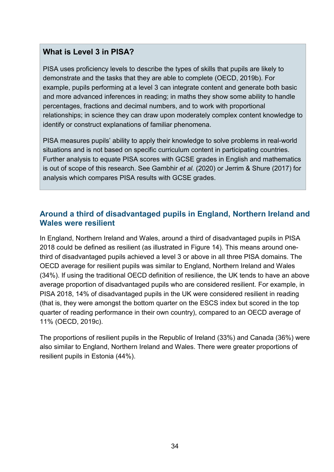#### **What is Level 3 in PISA?**

PISA uses proficiency levels to describe the types of skills that pupils are likely to demonstrate and the tasks that they are able to complete (OECD, 2019b). For example, pupils performing at a level 3 can integrate content and generate both basic and more advanced inferences in reading; in maths they show some ability to handle percentages, fractions and decimal numbers, and to work with proportional relationships; in science they can draw upon moderately complex content knowledge to identify or construct explanations of familiar phenomena.

PISA measures pupils' ability to apply their knowledge to solve problems in real-world situations and is not based on specific curriculum content in participating countries. Further analysis to equate PISA scores with GCSE grades in English and mathematics is out of scope of this research. See Gambhir *et al.* (2020) or Jerrim & Shure (2017) for analysis which compares PISA results with GCSE grades.

#### **Around a third of disadvantaged pupils in England, Northern Ireland and Wales were resilient**

In England, Northern Ireland and Wales, around a third of disadvantaged pupils in PISA 2018 could be defined as resilient (as illustrated in Figure 14). This means around onethird of disadvantaged pupils achieved a level 3 or above in all three PISA domains. The OECD average for resilient pupils was similar to England, Northern Ireland and Wales (34%). If using the traditional OECD definition of resilience, the UK tends to have an above average proportion of disadvantaged pupils who are considered resilient. For example, in PISA 2018, 14% of disadvantaged pupils in the UK were considered resilient in reading (that is, they were amongst the bottom quarter on the ESCS index but scored in the top quarter of reading performance in their own country), compared to an OECD average of 11% (OECD, 2019c).

The proportions of resilient pupils in the Republic of Ireland (33%) and Canada (36%) were also similar to England, Northern Ireland and Wales. There were greater proportions of resilient pupils in Estonia (44%).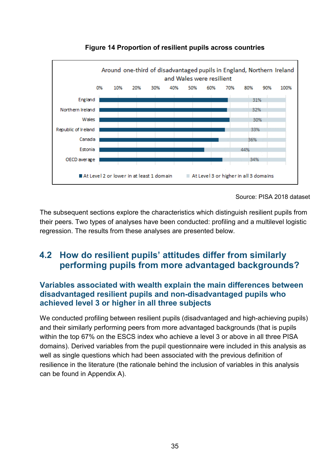<span id="page-36-1"></span>

**Figure 14 Proportion of resilient pupils across countries**

The subsequent sections explore the characteristics which distinguish resilient pupils from their peers. Two types of analyses have been conducted: profiling and a multilevel logistic regression. The results from these analyses are presented below.

## <span id="page-36-0"></span>**4.2 How do resilient pupils' attitudes differ from similarly performing pupils from more advantaged backgrounds?**

#### **Variables associated with wealth explain the main differences between disadvantaged resilient pupils and non-disadvantaged pupils who achieved level 3 or higher in all three subjects**

We conducted profiling between resilient pupils (disadvantaged and high-achieving pupils) and their similarly performing peers from more advantaged backgrounds (that is pupils within the top 67% on the ESCS index who achieve a level 3 or above in all three PISA domains). Derived variables from the pupil questionnaire were included in this analysis as well as single questions which had been associated with the previous definition of resilience in the literature (the rationale behind the inclusion of variables in this analysis can be found in Appendix A).

Source: PISA 2018 dataset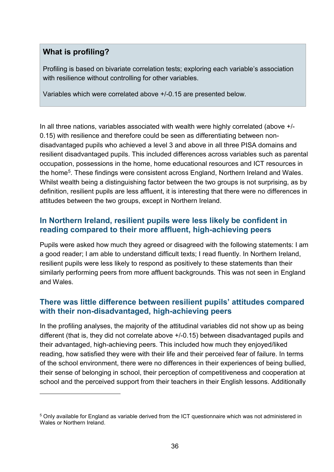#### **What is profiling?**

-

Profiling is based on bivariate correlation tests; exploring each variable's association with resilience without controlling for other variables.

Variables which were correlated above +/-0.15 are presented below.

In all three nations, variables associated with wealth were highly correlated (above +/- 0.15) with resilience and therefore could be seen as differentiating between nondisadvantaged pupils who achieved a level 3 and above in all three PISA domains and resilient disadvantaged pupils. This included differences across variables such as parental occupation, possessions in the home, home educational resources and ICT resources in the hom[e5.](#page-37-0) These findings were consistent across England, Northern Ireland and Wales. Whilst wealth being a distinguishing factor between the two groups is not surprising, as by definition, resilient pupils are less affluent, it is interesting that there were no differences in attitudes between the two groups, except in Northern Ireland.

#### **In Northern Ireland, resilient pupils were less likely be confident in reading compared to their more affluent, high-achieving peers**

Pupils were asked how much they agreed or disagreed with the following statements: I am a good reader; I am able to understand difficult texts; I read fluently. In Northern Ireland, resilient pupils were less likely to respond as positively to these statements than their similarly performing peers from more affluent backgrounds. This was not seen in England and Wales.

#### **There was little difference between resilient pupils' attitudes compared with their non-disadvantaged, high-achieving peers**

In the profiling analyses, the majority of the attitudinal variables did not show up as being different (that is, they did not correlate above +/-0.15) between disadvantaged pupils and their advantaged, high-achieving peers. This included how much they enjoyed/liked reading, how satisfied they were with their life and their perceived fear of failure. In terms of the school environment, there were no differences in their experiences of being bullied, their sense of belonging in school, their perception of competitiveness and cooperation at school and the perceived support from their teachers in their English lessons. Additionally

<span id="page-37-0"></span><sup>5</sup> Only available for England as variable derived from the ICT questionnaire which was not administered in Wales or Northern Ireland.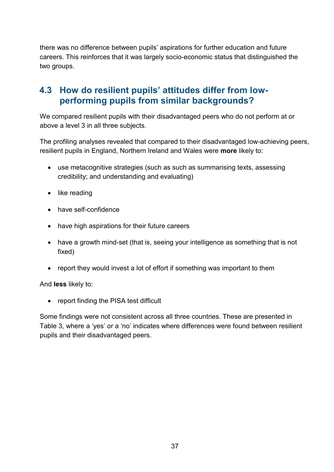there was no difference between pupils' aspirations for further education and future careers. This reinforces that it was largely socio-economic status that distinguished the two groups.

### <span id="page-38-0"></span>**4.3 How do resilient pupils' attitudes differ from lowperforming pupils from similar backgrounds?**

We compared resilient pupils with their disadvantaged peers who do not perform at or above a level 3 in all three subjects.

The profiling analyses revealed that compared to their disadvantaged low-achieving peers, resilient pupils in England, Northern Ireland and Wales were **more** likely to:

- use metacognitive strategies (such as such as summarising texts, assessing credibility; and understanding and evaluating)
- like reading
- have self-confidence
- have high aspirations for their future careers
- have a growth mind-set (that is, seeing your intelligence as something that is not fixed)
- report they would invest a lot of effort if something was important to them

And **less** likely to:

• report finding the PISA test difficult

Some findings were not consistent across all three countries. These are presented in Table 3, where a 'yes' or a 'no' indicates where differences were found between resilient pupils and their disadvantaged peers.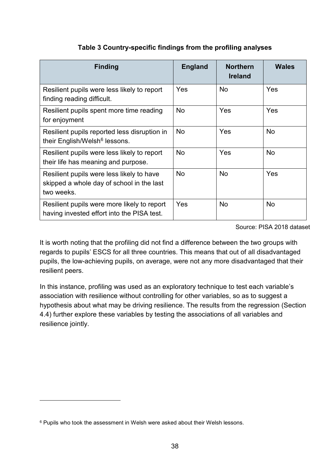#### **Table 3 Country-specific findings from the profiling analyses**

<span id="page-39-0"></span>

| <b>Finding</b>                                                                                       | <b>England</b> | <b>Northern</b><br><b>Ireland</b> | <b>Wales</b> |
|------------------------------------------------------------------------------------------------------|----------------|-----------------------------------|--------------|
| Resilient pupils were less likely to report<br>finding reading difficult.                            | Yes            | <b>No</b>                         | Yes          |
| Resilient pupils spent more time reading<br>for enjoyment                                            | <b>No</b>      | Yes                               | Yes          |
| Resilient pupils reported less disruption in<br>their English/Welsh <sup>6</sup> lessons.            | <b>No</b>      | Yes                               | <b>No</b>    |
| Resilient pupils were less likely to report<br>their life has meaning and purpose.                   | <b>No</b>      | Yes                               | <b>No</b>    |
| Resilient pupils were less likely to have<br>skipped a whole day of school in the last<br>two weeks. | <b>No</b>      | <b>No</b>                         | Yes          |
| Resilient pupils were more likely to report<br>having invested effort into the PISA test.            | Yes            | <b>No</b>                         | <b>No</b>    |

#### Source: PISA 2018 dataset

It is worth noting that the profiling did not find a difference between the two groups with regards to pupils' ESCS for all three countries. This means that out of all disadvantaged pupils, the low-achieving pupils, on average, were not any more disadvantaged that their resilient peers.

In this instance, profiling was used as an exploratory technique to test each variable's association with resilience without controlling for other variables, so as to suggest a hypothesis about what may be driving resilience. The results from the regression (Section 4.4) further explore these variables by testing the associations of all variables and resilience jointly.

-

<span id="page-39-1"></span><sup>6</sup> Pupils who took the assessment in Welsh were asked about their Welsh lessons.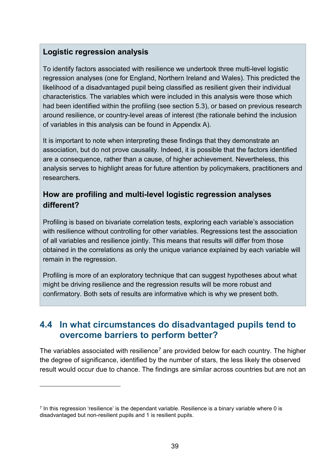### **Logistic regression analysis**

-

To identify factors associated with resilience we undertook three multi-level logistic regression analyses (one for England, Northern Ireland and Wales). This predicted the likelihood of a disadvantaged pupil being classified as resilient given their individual characteristics. The variables which were included in this analysis were those which had been identified within the profiling (see section 5.3), or based on previous research around resilience, or country-level areas of interest (the rationale behind the inclusion of variables in this analysis can be found in Appendix A).

It is important to note when interpreting these findings that they demonstrate an association, but do not prove causality. Indeed, it is possible that the factors identified are a consequence, rather than a cause, of higher achievement. Nevertheless, this analysis serves to highlight areas for future attention by policymakers, practitioners and researchers.

### **How are profiling and multi-level logistic regression analyses different?**

Profiling is based on bivariate correlation tests, exploring each variable's association with resilience without controlling for other variables. Regressions test the association of all variables and resilience jointly. This means that results will differ from those obtained in the correlations as only the unique variance explained by each variable will remain in the regression.

Profiling is more of an exploratory technique that can suggest hypotheses about what might be driving resilience and the regression results will be more robust and confirmatory. Both sets of results are informative which is why we present both.

### <span id="page-40-0"></span>**4.4 In what circumstances do disadvantaged pupils tend to overcome barriers to perform better?**

The variables associated with resilience<sup>[7](#page-40-1)</sup> are provided below for each country. The higher the degree of significance, identified by the number of stars, the less likely the observed result would occur due to chance. The findings are similar across countries but are not an

<span id="page-40-1"></span> $<sup>7</sup>$  In this regression 'resilience' is the dependant variable. Resilience is a binary variable where 0 is</sup> disadvantaged but non-resilient pupils and 1 is resilient pupils.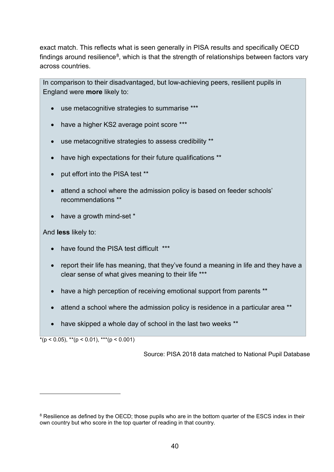exact match. This reflects what is seen generally in PISA results and specifically OECD findings around resilience<sup>[8](#page-41-0)</sup>, which is that the strength of relationships between factors vary across countries.

In comparison to their disadvantaged, but low-achieving peers, resilient pupils in England were **more** likely to:

- use metacognitive strategies to summarise \*\*\*
- have a higher KS2 average point score \*\*\*
- use metacognitive strategies to assess credibility \*\*
- have high expectations for their future qualifications \*\*
- put effort into the PISA test \*\*
- attend a school where the admission policy is based on feeder schools' recommendations \*\*
- have a growth mind-set \*

And **less** likely to:

- have found the PISA test difficult \*\*\*
- report their life has meaning, that they've found a meaning in life and they have a clear sense of what gives meaning to their life \*\*\*
- have a high perception of receiving emotional support from parents \*\*
- attend a school where the admission policy is residence in a particular area \*\*
- have skipped a whole day of school in the last two weeks \*\*

 $*(p < 0.05),$  \*\* $(p < 0.01),$  \*\*\* $(p < 0.001)$ 

-

Source: PISA 2018 data matched to National Pupil Database

<span id="page-41-0"></span><sup>&</sup>lt;sup>8</sup> Resilience as defined by the OECD; those pupils who are in the bottom quarter of the ESCS index in their own country but who score in the top quarter of reading in that country.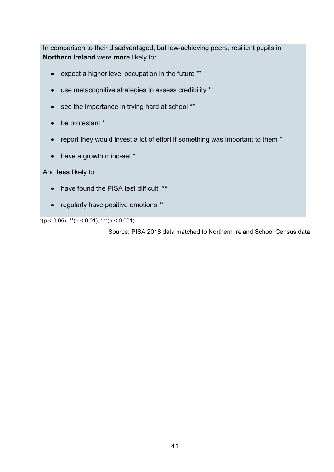In comparison to their disadvantaged, but low-achieving peers, resilient pupils in **Northern Ireland** were **more** likely to:

- expect a higher level occupation in the future \*\*
- use metacognitive strategies to assess credibility \*\*
- see the importance in trying hard at school \*\*
- be protestant \*
- report they would invest a lot of effort if something was important to them \*
- have a growth mind-set  $*$

And **less** likely to:

- have found the PISA test difficult \*\*
- regularly have positive emotions \*\*

 $*(p < 0.05),$  \*\* $(p < 0.01),$  \*\*\* $(p < 0.001)$ 

Source: PISA 2018 data matched to Northern Ireland School Census data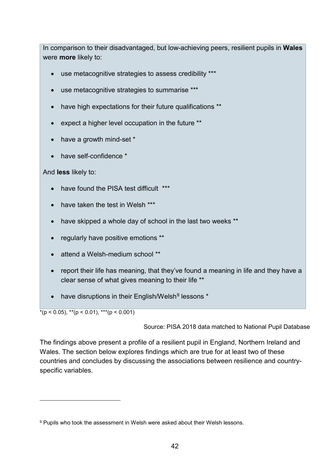In comparison to their disadvantaged, but low-achieving peers, resilient pupils in **Wales** were **more** likely to:

- use metacognitive strategies to assess credibility \*\*\*
- use metacognitive strategies to summarise \*\*\*
- have high expectations for their future qualifications \*\*
- expect a higher level occupation in the future \*\*
- have a growth mind-set \*
- have self-confidence \*

And **less** likely to:

- have found the PISA test difficult \*\*\*
- have taken the test in Welsh \*\*\*
- have skipped a whole day of school in the last two weeks \*\*
- regularly have positive emotions \*\*
- attend a Welsh-medium school \*\*
- report their life has meaning, that they've found a meaning in life and they have a clear sense of what gives meaning to their life \*\*
- have disruptions in their English/Welsh<sup>[9](#page-43-0)</sup> lessons \*

 $*(p < 0.05)$ ,  $**$ ( $p < 0.01$ ),  $**$ ( $p < 0.001$ )

-

Source: PISA 2018 data matched to National Pupil Database

The findings above present a profile of a resilient pupil in England, Northern Ireland and Wales. The section below explores findings which are true for at least two of these countries and concludes by discussing the associations between resilience and countryspecific variables.

<span id="page-43-0"></span><sup>9</sup> Pupils who took the assessment in Welsh were asked about their Welsh lessons.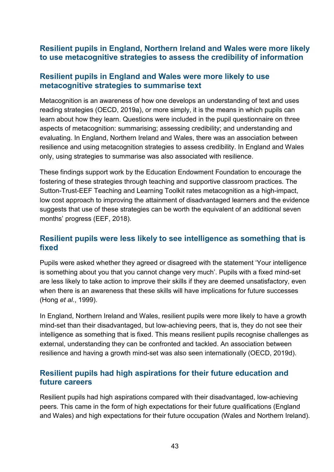#### **Resilient pupils in England, Northern Ireland and Wales were more likely to use metacognitive strategies to assess the credibility of information**

#### **Resilient pupils in England and Wales were more likely to use metacognitive strategies to summarise text**

Metacognition is an awareness of how one develops an understanding of text and uses reading strategies (OECD, 2019a), or more simply, it is the means in which pupils can learn about how they learn. Questions were included in the pupil questionnaire on three aspects of metacognition: summarising; assessing credibility; and understanding and evaluating. In England, Northern Ireland and Wales, there was an association between resilience and using metacognition strategies to assess credibility. In England and Wales only, using strategies to summarise was also associated with resilience.

These findings support work by the Education Endowment Foundation to encourage the fostering of these strategies through teaching and supportive classroom practices. The Sutton-Trust-EEF Teaching and Learning Toolkit rates metacognition as a high-impact, low cost approach to improving the attainment of disadvantaged learners and the evidence suggests that use of these strategies can be worth the equivalent of an additional seven months' progress (EEF, 2018).

#### **Resilient pupils were less likely to see intelligence as something that is fixed**

Pupils were asked whether they agreed or disagreed with the statement 'Your intelligence is something about you that you cannot change very much'. Pupils with a fixed mind-set are less likely to take action to improve their skills if they are deemed unsatisfactory, even when there is an awareness that these skills will have implications for future successes (Hong *et al.*, 1999).

In England, Northern Ireland and Wales, resilient pupils were more likely to have a growth mind-set than their disadvantaged, but low-achieving peers, that is, they do not see their intelligence as something that is fixed. This means resilient pupils recognise challenges as external, understanding they can be confronted and tackled. An association between resilience and having a growth mind-set was also seen internationally (OECD, 2019d).

#### **Resilient pupils had high aspirations for their future education and future careers**

Resilient pupils had high aspirations compared with their disadvantaged, low-achieving peers. This came in the form of high expectations for their future qualifications (England and Wales) and high expectations for their future occupation (Wales and Northern Ireland).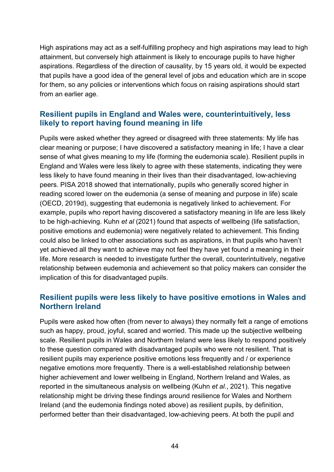High aspirations may act as a self-fulfilling prophecy and high aspirations may lead to high attainment, but conversely high attainment is likely to encourage pupils to have higher aspirations. Regardless of the direction of causality, by 15 years old, it would be expected that pupils have a good idea of the general level of jobs and education which are in scope for them, so any policies or interventions which focus on raising aspirations should start from an earlier age.

#### **Resilient pupils in England and Wales were, counterintuitively, less likely to report having found meaning in life**

Pupils were asked whether they agreed or disagreed with three statements: My life has clear meaning or purpose; I have discovered a satisfactory meaning in life; I have a clear sense of what gives meaning to my life (forming the eudemonia scale). Resilient pupils in England and Wales were less likely to agree with these statements, indicating they were less likely to have found meaning in their lives than their disadvantaged, low-achieving peers. PISA 2018 showed that internationally, pupils who generally scored higher in reading scored lower on the eudemonia (a sense of meaning and purpose in life) scale (OECD, 2019d), suggesting that eudemonia is negatively linked to achievement. For example, pupils who report having discovered a satisfactory meaning in life are less likely to be high-achieving. Kuhn *et al* (2021) found that aspects of wellbeing (life satisfaction, positive emotions and eudemonia) were negatively related to achievement. This finding could also be linked to other associations such as aspirations, in that pupils who haven't yet achieved all they want to achieve may not feel they have yet found a meaning in their life. More research is needed to investigate further the overall, counterintuitively, negative relationship between eudemonia and achievement so that policy makers can consider the implication of this for disadvantaged pupils.

#### **Resilient pupils were less likely to have positive emotions in Wales and Northern Ireland**

Pupils were asked how often (from never to always) they normally felt a range of emotions such as happy, proud, joyful, scared and worried. This made up the subjective wellbeing scale. Resilient pupils in Wales and Northern Ireland were less likely to respond positively to these question compared with disadvantaged pupils who were not resilient. That is resilient pupils may experience positive emotions less frequently and / or experience negative emotions more frequently. There is a well-established relationship between higher achievement and lower wellbeing in England, Northern Ireland and Wales, as reported in the simultaneous analysis on wellbeing (Kuhn *et al*., 2021). This negative relationship might be driving these findings around resilience for Wales and Northern Ireland (and the eudemonia findings noted above) as resilient pupils, by definition, performed better than their disadvantaged, low-achieving peers. At both the pupil and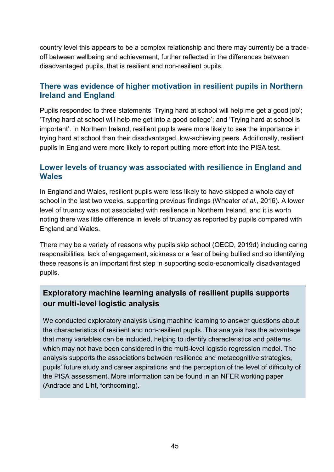country level this appears to be a complex relationship and there may currently be a tradeoff between wellbeing and achievement, further reflected in the differences between disadvantaged pupils, that is resilient and non-resilient pupils.

#### **There was evidence of higher motivation in resilient pupils in Northern Ireland and England**

Pupils responded to three statements 'Trying hard at school will help me get a good job'; 'Trying hard at school will help me get into a good college'; and 'Trying hard at school is important'. In Northern Ireland, resilient pupils were more likely to see the importance in trying hard at school than their disadvantaged, low-achieving peers. Additionally, resilient pupils in England were more likely to report putting more effort into the PISA test.

#### **Lower levels of truancy was associated with resilience in England and Wales**

In England and Wales, resilient pupils were less likely to have skipped a whole day of school in the last two weeks, supporting previous findings (Wheater *et al*., 2016). A lower level of truancy was not associated with resilience in Northern Ireland, and it is worth noting there was little difference in levels of truancy as reported by pupils compared with England and Wales.

There may be a variety of reasons why pupils skip school (OECD, 2019d) including caring responsibilities, lack of engagement, sickness or a fear of being bullied and so identifying these reasons is an important first step in supporting socio-economically disadvantaged pupils.

### **Exploratory machine learning analysis of resilient pupils supports our multi-level logistic analysis**

We conducted exploratory analysis using machine learning to answer questions about the characteristics of resilient and non-resilient pupils. This analysis has the advantage that many variables can be included, helping to identify characteristics and patterns which may not have been considered in the multi-level logistic regression model. The analysis supports the associations between resilience and metacognitive strategies, pupils' future study and career aspirations and the perception of the level of difficulty of the PISA assessment. More information can be found in an NFER working paper (Andrade and Liht, forthcoming).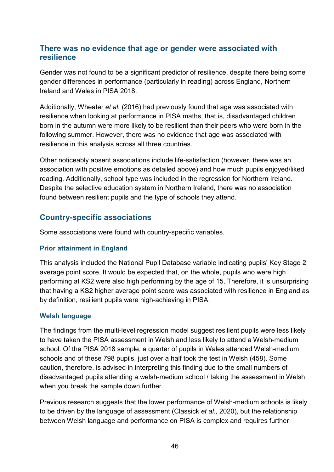#### **There was no evidence that age or gender were associated with resilience**

Gender was not found to be a significant predictor of resilience, despite there being some gender differences in performance (particularly in reading) across England, Northern Ireland and Wales in PISA 2018.

Additionally, Wheater *et al.* (2016) had previously found that age was associated with resilience when looking at performance in PISA maths, that is, disadvantaged children born in the autumn were more likely to be resilient than their peers who were born in the following summer. However, there was no evidence that age was associated with resilience in this analysis across all three countries.

Other noticeably absent associations include life-satisfaction (however, there was an association with positive emotions as detailed above) and how much pupils enjoyed/liked reading. Additionally, school type was included in the regression for Northern Ireland. Despite the selective education system in Northern Ireland, there was no association found between resilient pupils and the type of schools they attend.

#### **Country-specific associations**

Some associations were found with country-specific variables.

#### **Prior attainment in England**

This analysis included the National Pupil Database variable indicating pupils' Key Stage 2 average point score. It would be expected that, on the whole, pupils who were high performing at KS2 were also high performing by the age of 15. Therefore, it is unsurprising that having a KS2 higher average point score was associated with resilience in England as by definition, resilient pupils were high-achieving in PISA.

#### **Welsh language**

The findings from the multi-level regression model suggest resilient pupils were less likely to have taken the PISA assessment in Welsh and less likely to attend a Welsh-medium school. Of the PISA 2018 sample, a quarter of pupils in Wales attended Welsh-medium schools and of these 798 pupils, just over a half took the test in Welsh (458). Some caution, therefore, is advised in interpreting this finding due to the small numbers of disadvantaged pupils attending a welsh-medium school / taking the assessment in Welsh when you break the sample down further.

Previous research suggests that the lower performance of Welsh-medium schools is likely to be driven by the language of assessment (Classick *et al*.*,* 2020), but the relationship between Welsh language and performance on PISA is complex and requires further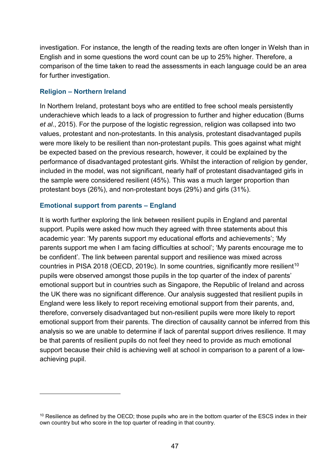investigation. For instance, the length of the reading texts are often longer in Welsh than in English and in some questions the word count can be up to 25% higher. Therefore, a comparison of the time taken to read the assessments in each language could be an area for further investigation.

#### **Religion – Northern Ireland**

-

In Northern Ireland, protestant boys who are entitled to free school meals persistently underachieve which leads to a lack of progression to further and higher education (Burns *et al*., 2015). For the purpose of the logistic regression, religion was collapsed into two values, protestant and non-protestants. In this analysis, protestant disadvantaged pupils were more likely to be resilient than non-protestant pupils. This goes against what might be expected based on the previous research, however, it could be explained by the performance of disadvantaged protestant girls. Whilst the interaction of religion by gender, included in the model, was not significant, nearly half of protestant disadvantaged girls in the sample were considered resilient (45%). This was a much larger proportion than protestant boys (26%), and non-protestant boys (29%) and girls (31%).

#### **Emotional support from parents – England**

It is worth further exploring the link between resilient pupils in England and parental support. Pupils were asked how much they agreed with three statements about this academic year: 'My parents support my educational efforts and achievements'; 'My parents support me when I am facing difficulties at school'; 'My parents encourage me to be confident'. The link between parental support and resilience was mixed across countries in PISA 2018 (OECD, 2019c). In some countries, significantly more resilient<sup>[10](#page-48-0)</sup> pupils were observed amongst those pupils in the top quarter of the index of parents' emotional support but in countries such as Singapore, the Republic of Ireland and across the UK there was no significant difference. Our analysis suggested that resilient pupils in England were less likely to report receiving emotional support from their parents, and, therefore, conversely disadvantaged but non-resilient pupils were more likely to report emotional support from their parents. The direction of causality cannot be inferred from this analysis so we are unable to determine if lack of parental support drives resilience. It may be that parents of resilient pupils do not feel they need to provide as much emotional support because their child is achieving well at school in comparison to a parent of a lowachieving pupil.

<span id="page-48-0"></span><sup>&</sup>lt;sup>10</sup> Resilience as defined by the OECD; those pupils who are in the bottom quarter of the ESCS index in their own country but who score in the top quarter of reading in that country.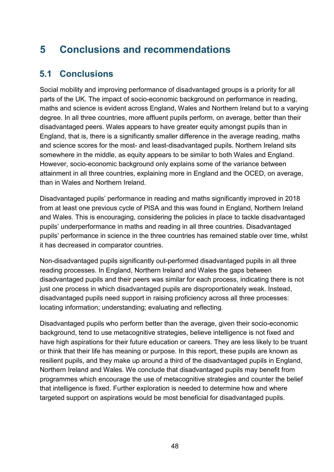## <span id="page-49-0"></span>**5 Conclusions and recommendations**

### <span id="page-49-1"></span>**5.1 Conclusions**

Social mobility and improving performance of disadvantaged groups is a priority for all parts of the UK. The impact of socio-economic background on performance in reading, maths and science is evident across England, Wales and Northern Ireland but to a varying degree. In all three countries, more affluent pupils perform, on average, better than their disadvantaged peers. Wales appears to have greater equity amongst pupils than in England, that is, there is a significantly smaller difference in the average reading, maths and science scores for the most- and least-disadvantaged pupils. Northern Ireland sits somewhere in the middle, as equity appears to be similar to both Wales and England. However, socio-economic background only explains some of the variance between attainment in all three countries, explaining more in England and the OCED, on average, than in Wales and Northern Ireland.

Disadvantaged pupils' performance in reading and maths significantly improved in 2018 from at least one previous cycle of PISA and this was found in England, Northern Ireland and Wales. This is encouraging, considering the policies in place to tackle disadvantaged pupils' underperformance in maths and reading in all three countries. Disadvantaged pupils' performance in science in the three countries has remained stable over time, whilst it has decreased in comparator countries.

Non-disadvantaged pupils significantly out-performed disadvantaged pupils in all three reading processes. In England, Northern Ireland and Wales the gaps between disadvantaged pupils and their peers was similar for each process, indicating there is not just one process in which disadvantaged pupils are disproportionately weak. Instead, disadvantaged pupils need support in raising proficiency across all three processes: locating information; understanding; evaluating and reflecting.

Disadvantaged pupils who perform better than the average, given their socio-economic background, tend to use metacognitive strategies, believe intelligence is not fixed and have high aspirations for their future education or careers. They are less likely to be truant or think that their life has meaning or purpose. In this report, these pupils are known as resilient pupils, and they make up around a third of the disadvantaged pupils in England, Northern Ireland and Wales. We conclude that disadvantaged pupils may benefit from programmes which encourage the use of metacognitive strategies and counter the belief that intelligence is fixed. Further exploration is needed to determine how and where targeted support on aspirations would be most beneficial for disadvantaged pupils.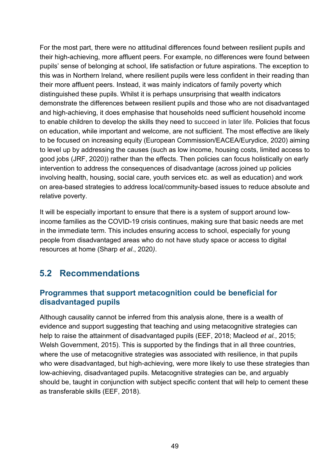For the most part, there were no attitudinal differences found between resilient pupils and their high-achieving, more affluent peers. For example, no differences were found between pupils' sense of belonging at school, life satisfaction or future aspirations. The exception to this was in Northern Ireland, where resilient pupils were less confident in their reading than their more affluent peers. Instead, it was mainly indicators of family poverty which distinguished these pupils. Whilst it is perhaps unsurprising that wealth indicators demonstrate the differences between resilient pupils and those who are not disadvantaged and high-achieving, it does emphasise that households need sufficient household income to enable children to develop the skills they need to succeed in later life. Policies that focus on education, while important and welcome, are not sufficient. The most effective are likely to be focused on increasing equity (European Commission/EACEA/Eurydice, 2020) aiming to level up by addressing the causes (such as low income, housing costs, limited access to good jobs (JRF, 2020)) rather than the effects. Then policies can focus holistically on early intervention to address the consequences of disadvantage (across joined up policies involving health, housing, social care, youth services etc. as well as education) and work on area-based strategies to address local/community-based issues to reduce absolute and relative poverty.

It will be especially important to ensure that there is a system of support around lowincome families as the COVID-19 crisis continues, making sure that basic needs are met in the immediate term. This includes ensuring access to school, especially for young people from disadvantaged areas who do not have study space or access to digital resources at home (Sharp *et al*., 2020*)*.

## <span id="page-50-0"></span>**5.2 Recommendations**

#### **Programmes that support metacognition could be beneficial for disadvantaged pupils**

Although causality cannot be inferred from this analysis alone, there is a wealth of evidence and support suggesting that teaching and using metacognitive strategies can help to raise the attainment of disadvantaged pupils (EEF, 2018; Macleod *et al.*, 2015; Welsh Government, 2015). This is supported by the findings that in all three countries, where the use of metacognitive strategies was associated with resilience, in that pupils who were disadvantaged, but high-achieving, were more likely to use these strategies than low-achieving, disadvantaged pupils. Metacognitive strategies can be, and arguably should be, taught in conjunction with subject specific content that will help to cement these as transferable skills (EEF, 2018).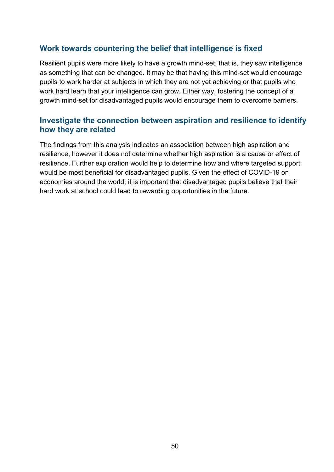#### **Work towards countering the belief that intelligence is fixed**

Resilient pupils were more likely to have a growth mind-set, that is, they saw intelligence as something that can be changed. It may be that having this mind-set would encourage pupils to work harder at subjects in which they are not yet achieving or that pupils who work hard learn that your intelligence can grow. Either way, fostering the concept of a growth mind-set for disadvantaged pupils would encourage them to overcome barriers.

#### **Investigate the connection between aspiration and resilience to identify how they are related**

The findings from this analysis indicates an association between high aspiration and resilience, however it does not determine whether high aspiration is a cause or effect of resilience. Further exploration would help to determine how and where targeted support would be most beneficial for disadvantaged pupils. Given the effect of COVID-19 on economies around the world, it is important that disadvantaged pupils believe that their hard work at school could lead to rewarding opportunities in the future.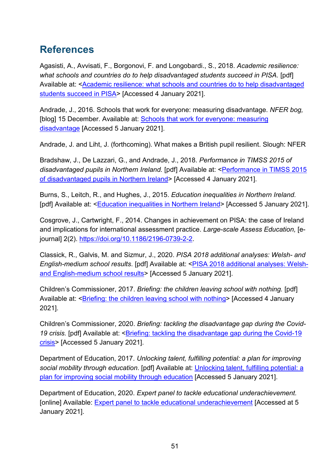## <span id="page-52-0"></span>**References**

Agasisti, A., Avvisati, F., Borgonovi, F. and Longobardi., S., 2018. *Academic resilience: what schools and countries do to help disadvantaged students succeed in PISA.* [pdf] Available at: [<Academic resilience: what schools and countries do to help disadvantaged](http://bildunggrenzenlos.at/wp-content/uploads/resilienz_studie.pdf)  [students succeed in PISA>](http://bildunggrenzenlos.at/wp-content/uploads/resilienz_studie.pdf) [Accessed 4 January 2021].

Andrade, J., 2016. Schools that work for everyone: measuring disadvantage. *NFER bog,* [blog] 15 December. Available at: **Schools that work for everyone: measuring** [disadvantage](https://www.nfer.ac.uk/news-events/nfer-blogs/schools-that-work-for-everyone-measuring-disadvantage/) [Accessed 5 January 2021].

Andrade, J. and Liht, J. (forthcoming). What makes a British pupil resilient. Slough: NFER

Bradshaw, J., De Lazzari, G., and Andrade, J., 2018. *Performance in TIMSS 2015 of disadvantaged pupils in Northern Ireland.* [pdf] Available at: [<Performance in TIMSS 2015](https://www.education-ni.gov.uk/sites/default/files/publications/education/Performance-in-TIMSS-2015-of-disadvantaged-pupils-in-Northern-Ireland.pdf)  [of disadvantaged pupils in Northern Ireland>](https://www.education-ni.gov.uk/sites/default/files/publications/education/Performance-in-TIMSS-2015-of-disadvantaged-pupils-in-Northern-Ireland.pdf) [Accessed 4 January 2021].

Burns, S., Leitch, R., and Hughes, J., 2015. *Education inequalities in Northern Ireland.* [pdf] Available at: [<Education inequalities in Northern Ireland>](https://www.equalityni.org/ECNI/media/ECNI/Publications/Delivering%20Equality/EducationInequality-FullReportQUB.pdf) [Accessed 5 January 2021].

Cosgrove, J., Cartwright, F., 2014. Changes in achievement on PISA: the case of Ireland and implications for international assessment practice. *Large-scale Assess Education,* [ejournal] 2(2). [https://doi.org/10.1186/2196-0739-2-2.](https://doi.org/10.1186/2196-0739-2-2)

Classick, R., Galvis, M. and Sizmur, J., 2020. *PISA 2018 additional analyses: Welsh- and English-medium school results*. [pdf] Available at: <**PISA 2018 additional analyses: Welsh**[and English-medium school results>](https://www.nfer.ac.uk/media/4192/pisa_2018_additional_analyses_welsh_and_english_medium_school_results.pdf) [Accessed 5 January 2021].

Children's Commissioner, 2017. *Briefing: the children leaving school with nothing.* [pdf] Available at: [<Briefing: the children leaving school with nothing>](https://www.childrenscommissioner.gov.uk/wp-content/uploads/2019/09/cco-briefing-children-leaving-school-with-nothing.pdf) [Accessed 4 January 2021].

Children's Commissioner, 2020. *Briefing: tackling the disadvantage gap during the Covid-*19 crisis. [pdf] Available at: <*Briefing: tackling the disadvantage gap during the Covid-19* [crisis>](https://www.childrenscommissioner.gov.uk/wp-content/uploads/2020/04/cco-tackling-the-disadvantage-gap-during-the-covid-19-crisis.pdf) [Accessed 5 January 2021].

Department of Education, 2017. *Unlocking talent, fulfilling potential: a plan for improving social mobility through education*. [pdf] Available at: [Unlocking talent, fulfilling potential: a](https://assets.publishing.service.gov.uk/government/uploads/system/uploads/attachment_data/file/667690/Social_Mobility_Action_Plan_-_for_printing.pdf)  plan for improving [social mobility through education](https://assets.publishing.service.gov.uk/government/uploads/system/uploads/attachment_data/file/667690/Social_Mobility_Action_Plan_-_for_printing.pdf) [Accessed 5 January 2021].

Department of Education, 2020. *Expert panel to tackle educational underachievement.*  [online] Available: **Expert panel to tackle educational underachievement** [Accessed at 5 January 2021].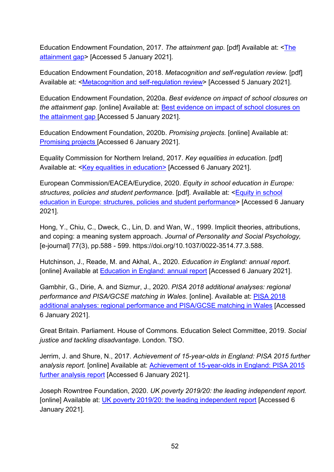Education Endowment Foundation, 2017. *The attainment gap.* [pdf] Available at: [<The](https://educationendowmentfoundation.org.uk/public/files/Annual_Reports/EEF_Attainment_Gap_Report_2018.pdf)  [attainment gap>](https://educationendowmentfoundation.org.uk/public/files/Annual_Reports/EEF_Attainment_Gap_Report_2018.pdf) [Accessed 5 January 2021].

Education Endowment Foundation, 2018. *Metacognition and self-regulation review.* [pdf] Available at: <**Metacognition and self-regulation review**> [Accessed 5 January 2021].

Education Endowment Foundation, 2020a. *Best evidence on impact of school closures on the attainment gap.* [online] Available at: [Best evidence on impact of school closures on](https://educationendowmentfoundation.org.uk/covid-19-resources/best-evidence-on-impact-of-school-closures-on-the-attainment-gap/)  [the attainment gap \[](https://educationendowmentfoundation.org.uk/covid-19-resources/best-evidence-on-impact-of-school-closures-on-the-attainment-gap/)Accessed 5 January 2021].

Education Endowment Foundation, 2020b. *Promising projects.* [online] Available at: [Promising projects \[](https://educationendowmentfoundation.org.uk/tools/promising/#closeSignup)Accessed 6 January 2021].

Equality Commission for Northern Ireland, 2017. *Key equalities in education.* [pdf] Available at: <**Key equalities in education>** [Accessed 6 January 2021].

European Commission/EACEA/Eurydice, 2020. *Equity in school education in Europe: structures, policies and student performance*. [pdf]. Available at: <**Equity in school** [education in Europe: structures, policies and student performance>](https://op.europa.eu/en/publication-detail/-/publication/a18e3a88-1e4d-11eb-b57e-01aa75ed71a1/language-en/format-PDF/source-170147202) [Accessed 6 January 2021].

Hong, Y., Chiu, C., Dweck, C., Lin, D. and Wan, W., 1999. Implicit theories, attributions, and coping: a meaning system approach. *Journal of Personality and Social Psychology,*  [e-journal] 77(3), pp.588 - 599. https://doi.org/10.1037/0022-3514.77.3.588.

Hutchinson, J., Reade, M. and Akhal, A., 2020. *Education in England: annual report*. [online] Available at **Education in England: annual report** [Accessed 6 January 2021].

Gambhir, G., Dirie, A. and Sizmur, J., 2020. *PISA 2018 additional analyses: regional performance and PISA/GCSE matching in Wales*. [online]. Available at: [PISA 2018](https://www.nfer.ac.uk/pisa-2018-additional-analyses-regional-performance-and-pisa-gcse-matching-in-wales/)  [additional analyses: regional performance and PISA/GCSE matching in Wales](https://www.nfer.ac.uk/pisa-2018-additional-analyses-regional-performance-and-pisa-gcse-matching-in-wales/) [Accessed 6 January 2021].

Great Britain. Parliament. House of Commons. Education Select Committee, 2019. *Social justice and tackling disadvantage*. London. TSO.

Jerrim, J. and Shure, N., 2017. *Achievement of 15-year-olds in England: PISA 2015 further analysis report.* [online] Available at: [Achievement of 15-year-olds in England: PISA 2015](https://assets.publishing.service.gov.uk/government/uploads/system/uploads/attachment_data/file/661245/PISA_2015_Further_Analysis_Report_FINAL.pdf)  [further analysis report](https://assets.publishing.service.gov.uk/government/uploads/system/uploads/attachment_data/file/661245/PISA_2015_Further_Analysis_Report_FINAL.pdf) [Accessed 6 January 2021].

Joseph Rowntree Foundation, 2020. *UK poverty 2019/20: the leading independent report.*  [online] Available at: [UK poverty 2019/20: the leading independent report](https://www.jrf.org.uk/report/uk-poverty-2019-20) [Accessed 6 January 2021].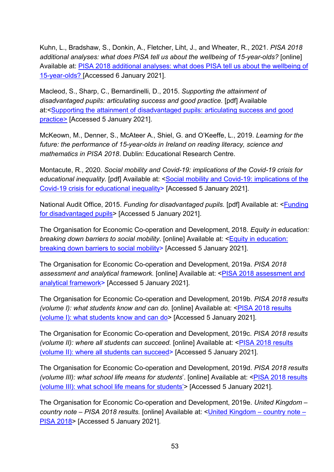Kuhn, L., Bradshaw, S., Donkin, A., Fletcher, Liht, J., and Wheater, R., 2021. *PISA 2018 additional analyses: what does PISA tell us about the wellbeing of 15-year-olds?* [online] Available at: [PISA 2018 additional analyses: what does PISA tell us about the wellbeing of](http://www.nfer.ac.uk/PISA-2018-additional-analyses-what-does-PISA-tell-us-about-the-wellbeing-of-15-year-olds)  [15-year-olds? \[](http://www.nfer.ac.uk/PISA-2018-additional-analyses-what-does-PISA-tell-us-about-the-wellbeing-of-15-year-olds)Accessed 6 January 2021].

Macleod, S., Sharp, C., Bernardinelli, D., 2015. *Supporting the attainment of disadvantaged pupils: articulating success and good practice.* [pdf] Available at:[<Supporting the attainment of disadvantaged pupils: articulating success and good](https://assets.publishing.service.gov.uk/government/uploads/system/uploads/attachment_data/file/473974/DFE-RR411_Supporting_the_attainment_of_disadvantaged_pupils.pdf)  [practice>](https://assets.publishing.service.gov.uk/government/uploads/system/uploads/attachment_data/file/473974/DFE-RR411_Supporting_the_attainment_of_disadvantaged_pupils.pdf) [Accessed 5 January 2021].

McKeown, M., Denner, S., McAteer A., Shiel, G. and O'Keeffe, L., 2019. *Learning for the future: the performance of 15-year-olds in Ireland on reading literacy, science and mathematics in PISA 2018*. Dublin: Educational Research Centre.

Montacute, R., 2020. *Social mobility and Covid-19: implications of the Covid-19 crisis for*  educational inequality. [pdf] Available at: <Social mobility and Covid-19: implications of the [Covid-19 crisis for educational inequality>](https://www.suttontrust.com/wp-content/uploads/2020/04/COVID-19-and-Social-Mobility-1.pdf) [Accessed 5 January 2021].

National Audit Office, 2015. *Funding for disadvantaged pupils.* [pdf] Available at: [<Funding](https://www.nao.org.uk/wp-content/uploads/2015/06/Funding-for-disadvantaged-pupils.pdf)  [for disadvantaged pupils>](https://www.nao.org.uk/wp-content/uploads/2015/06/Funding-for-disadvantaged-pupils.pdf) [Accessed 5 January 2021].

The Organisation for Economic Co-operation and Development, 2018. *Equity in education: breaking down barriers to social mobility.* [online] Available at: [<Equity in education:](https://www.oecd-ilibrary.org/education/equity-in-education_9789264073234-en)  [breaking down barriers to social mobility>](https://www.oecd-ilibrary.org/education/equity-in-education_9789264073234-en) [Accessed 5 January 2021].

The Organisation for Economic Co-operation and Development, 2019a. *PISA 2018 assessment and analytical framework.* [online] Available at: [<PISA 2018 assessment and](https://www.oecd-ilibrary.org/education/pisa-2018-assessment-and-analytical-framework_b25efab8-en)  [analytical framework>](https://www.oecd-ilibrary.org/education/pisa-2018-assessment-and-analytical-framework_b25efab8-en) [Accessed 5 January 2021].

The Organisation for Economic Co-operation and Development, 2019b. *PISA 2018 results (volume I): what students know and can do.* [online] Available at: <**PISA 2018 results** [\(volume I\): what students know and can do>](http://www.oecd.org/publications/pisa-2018-results-volume-i-5f07c754-en.htm) [Accessed 5 January 2021].

The Organisation for Economic Co-operation and Development, 2019c. *PISA 2018 results (volume II): where all students can succeed.* [online] Available at: [<PISA 2018 results](http://www.oecd.org/publications/pisa-2018-results-volume-ii-b5fd1b8f-en.htm)  [\(volume II\): where all students can succeed>](http://www.oecd.org/publications/pisa-2018-results-volume-ii-b5fd1b8f-en.htm) [Accessed 5 January 2021].

The Organisation for Economic Co-operation and Development, 2019d. *PISA 2018 results (volume III): what school life means for students*'. [online] Available at: [<PISA 2018 results](http://www.oecd.org/publications/pisa-2018-results-volume-iii-acd78851-en.htm)  [\(volume III\): what school life means for students'>](http://www.oecd.org/publications/pisa-2018-results-volume-iii-acd78851-en.htm) [Accessed 5 January 2021].

The Organisation for Economic Co-operation and Development, 2019e. *United Kingdom – country note – PISA 2018 results.* [online] Available at: [<United Kingdom –](https://www.oecd.org/pisa/publications/PISA2018_CN_GBR.pdf) country note – [PISA 2018>](https://www.oecd.org/pisa/publications/PISA2018_CN_GBR.pdf) [Accessed 5 January 2021].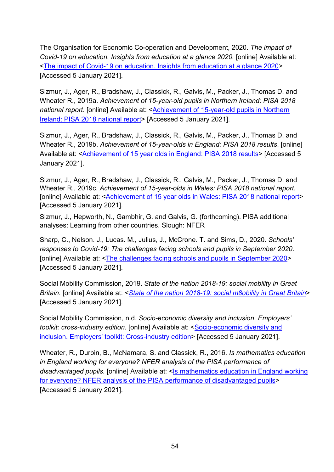The Organisation for Economic Co-operation and Development, 2020. *The impact of Covid-19 on education. Insights from education at a glance 2020.* [online] Available at: [<The impact of Covid-19 on education. Insights from education at a glance 2020>](https://www.oecd.org/education/the-impact-of-covid-19-on-education-insights-education-at-a-glance-2020.pdf) [Accessed 5 January 2021].

Sizmur, J., Ager, R., Bradshaw, J., Classick, R., Galvis, M., Packer, J., Thomas D. and Wheater R., 2019a. *Achievement of 15-year-old pupils in Northern Ireland: PISA 2018 national report*. [online] Available at: [<Achievement of 15-year-old pupils in Northern](https://www.nfer.ac.uk/achievement-of-15-year-old-pupils-in-northern-ireland-pisa-2018-national-report/)  [Ireland: PISA 2018 national report>](https://www.nfer.ac.uk/achievement-of-15-year-old-pupils-in-northern-ireland-pisa-2018-national-report/) [Accessed 5 January 2021].

Sizmur, J., Ager, R., Bradshaw, J., Classick, R., Galvis, M., Packer, J., Thomas D. and Wheater R., 2019b. *Achievement of 15-year-olds in England: PISA 2018 results*. [online] Available at: <**Achievement of 15 year olds in England: PISA 2018 results>** [Accessed 5 January 2021].

Sizmur, J., Ager, R., Bradshaw, J., Classick, R., Galvis, M., Packer, J., Thomas D. and Wheater R., 2019c. *Achievement of 15-year-olds in Wales: PISA 2018 national report.* [online] Available at: <**Achievement of 15 year olds in Wales: PISA 2018 national report>** [Accessed 5 January 2021].

Sizmur, J., Hepworth, N., Gambhir, G. and Galvis, G. (forthcoming). PISA additional analyses: Learning from other countries. Slough: NFER

Sharp, C., Nelson. J., Lucas. M., Julius, J., McCrone. T. and Sims, D., 2020. *Schools' responses to Covid-19: The challenges facing schools and pupils in September 2020*. [online] Available at: [<The challenges facing schools and pupils in September 2020>](https://www.nfer.ac.uk/media/4119/schools_responses_to_covid_19_the_challenges_facing_schools_and_pupils_in_september_2020.pdf) [Accessed 5 January 2021].

Social Mobility Commission, 2019. *State of the nation 2018-19: social mobility in Great Britain.* [online] Available at: <*[State of the nation 2018-19: social m8obility in Great Britain](https://assets.publishing.service.gov.uk/government/uploads/system/uploads/attachment_data/file/798404/SMC_State_of_the_Nation_Report_2018-19.pdf)*> [Accessed 5 January 2021].

Social Mobility Commission, n.d. *Socio-economic diversity and inclusion. Employers' toolkit: cross-industry edition.* [online] Available at: <**Socio-economic diversity and** [inclusion. Employers' toolkit: Cross-industry edition>](https://assets.publishing.service.gov.uk/government/uploads/system/uploads/attachment_data/file/863502/Employers_Toolkit.pdf) [Accessed 5 January 2021].

Wheater, R., Durbin, B., McNamara, S. and Classick, R., 2016. *Is mathematics education in England working for everyone? NFER analysis of the PISA performance of disadvantaged pupils.* [online] Available at: [<Is mathematics education in England working](https://www.nfer.ac.uk/media/2079/pian01.pdf)  [for everyone? NFER analysis of the PISA performance of disadvantaged pupils>](https://www.nfer.ac.uk/media/2079/pian01.pdf) [Accessed 5 January 2021].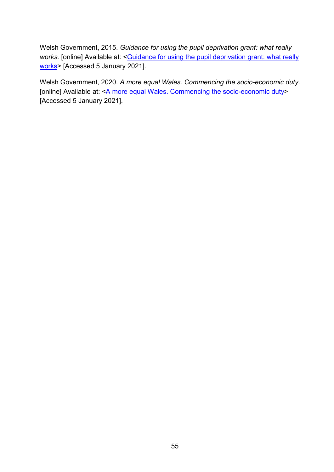Welsh Government, 2015. *Guidance for using the pupil deprivation grant: what really*  works. [online] Available at: <**Guidance for using the pupil deprivation grant: what really** [works>](https://gov.wales/pupil-development-grant-what-really-works) [Accessed 5 January 2021].

Welsh Government, 2020. *A more equal Wales. Commencing the socio-economic duty.* [online] Available at: < A more equal Wales. Commencing the socio-economic duty> [Accessed 5 January 2021].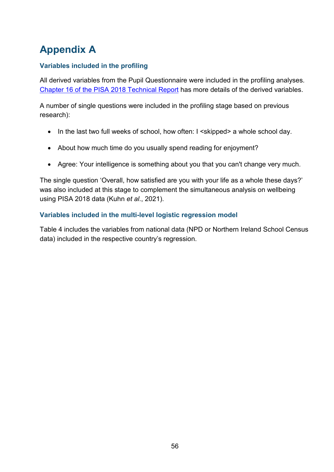## <span id="page-57-0"></span>**Appendix A**

#### **Variables included in the profiling**

All derived variables from the Pupil Questionnaire were included in the profiling analyses. [Chapter 16 of the PISA 2018 Technical Report](https://www.oecd.org/pisa/data/pisa2018technicalreport/PISA2018_Technical-Report-Chapter-16-Background-Questionnaires.pdf) has more details of the derived variables.

A number of single questions were included in the profiling stage based on previous research):

- In the last two full weeks of school, how often: I <skipped> a whole school day.
- About how much time do you usually spend reading for enjoyment?
- Agree: Your intelligence is something about you that you can't change very much.

The single question 'Overall, how satisfied are you with your life as a whole these days?' was also included at this stage to complement the simultaneous analysis on wellbeing using PISA 2018 data (Kuhn *et al*., 2021).

#### **Variables included in the multi-level logistic regression model**

Table 4 includes the variables from national data (NPD or Northern Ireland School Census data) included in the respective country's regression.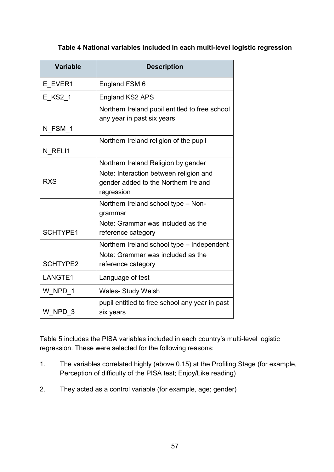#### **Table 4 National variables included in each multi-level logistic regression**

<span id="page-58-0"></span>

| <b>Variable</b> | <b>Description</b>                                                                           |
|-----------------|----------------------------------------------------------------------------------------------|
| E EVER1         | England FSM 6                                                                                |
| E KS2 1         | <b>England KS2 APS</b>                                                                       |
|                 | Northern Ireland pupil entitled to free school<br>any year in past six years                 |
| N FSM 1         |                                                                                              |
| N RELI1         | Northern Ireland religion of the pupil                                                       |
|                 | Northern Ireland Religion by gender                                                          |
| <b>RXS</b>      | Note: Interaction between religion and<br>gender added to the Northern Ireland<br>regression |
|                 | Northern Ireland school type - Non-<br>grammar                                               |
| <b>SCHTYPE1</b> | Note: Grammar was included as the<br>reference category                                      |
|                 | Northern Ireland school type - Independent                                                   |
| <b>SCHTYPE2</b> | Note: Grammar was included as the<br>reference category                                      |
| LANGTE1         | Language of test                                                                             |
| W NPD 1         | <b>Wales-Study Welsh</b>                                                                     |
| W NPD 3         | pupil entitled to free school any year in past<br>six years                                  |

Table 5 includes the PISA variables included in each country's multi-level logistic regression. These were selected for the following reasons:

- 1. The variables correlated highly (above 0.15) at the Profiling Stage (for example, Perception of difficulty of the PISA test; Enjoy/Like reading)
- 2. They acted as a control variable (for example, age; gender)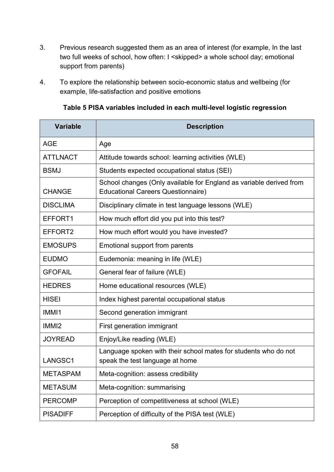- 3. Previous research suggested them as an area of interest (for example, In the last two full weeks of school, how often: I <skipped> a whole school day; emotional support from parents)
- 4. To explore the relationship between socio-economic status and wellbeing (for example, life-satisfaction and positive emotions

| Table 5 PISA variables included in each multi-level logistic regression |
|-------------------------------------------------------------------------|
|-------------------------------------------------------------------------|

<span id="page-59-0"></span>

| <b>Variable</b>   | <b>Description</b>                                                                                               |
|-------------------|------------------------------------------------------------------------------------------------------------------|
| <b>AGE</b>        | Age                                                                                                              |
| <b>ATTLNACT</b>   | Attitude towards school: learning activities (WLE)                                                               |
| <b>BSMJ</b>       | Students expected occupational status (SEI)                                                                      |
| <b>CHANGE</b>     | School changes (Only available for England as variable derived from<br><b>Educational Careers Questionnaire)</b> |
| <b>DISCLIMA</b>   | Disciplinary climate in test language lessons (WLE)                                                              |
| EFFORT1           | How much effort did you put into this test?                                                                      |
| EFFORT2           | How much effort would you have invested?                                                                         |
| <b>EMOSUPS</b>    | Emotional support from parents                                                                                   |
| <b>EUDMO</b>      | Eudemonia: meaning in life (WLE)                                                                                 |
| <b>GFOFAIL</b>    | General fear of failure (WLE)                                                                                    |
| <b>HEDRES</b>     | Home educational resources (WLE)                                                                                 |
| <b>HISEI</b>      | Index highest parental occupational status                                                                       |
| IMMI1             | Second generation immigrant                                                                                      |
| IMMI <sub>2</sub> | First generation immigrant                                                                                       |
| <b>JOYREAD</b>    | Enjoy/Like reading (WLE)                                                                                         |
| LANGSC1           | Language spoken with their school mates for students who do not<br>speak the test language at home               |
| <b>METASPAM</b>   | Meta-cognition: assess credibility                                                                               |
| <b>METASUM</b>    | Meta-cognition: summarising                                                                                      |
| <b>PERCOMP</b>    | Perception of competitiveness at school (WLE)                                                                    |
| <b>PISADIFF</b>   | Perception of difficulty of the PISA test (WLE)                                                                  |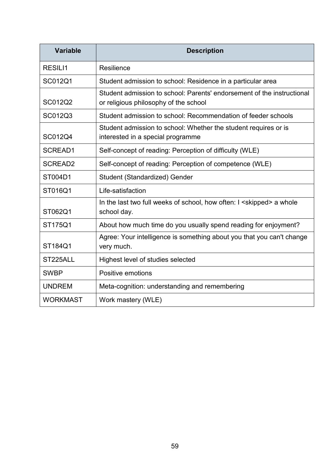| <b>Variable</b> | <b>Description</b>                                                                                              |
|-----------------|-----------------------------------------------------------------------------------------------------------------|
| <b>RESILI1</b>  | Resilience                                                                                                      |
| SC012Q1         | Student admission to school: Residence in a particular area                                                     |
| SC012Q2         | Student admission to school: Parents' endorsement of the instructional<br>or religious philosophy of the school |
| SC012Q3         | Student admission to school: Recommendation of feeder schools                                                   |
| SC012Q4         | Student admission to school: Whether the student requires or is<br>interested in a special programme            |
| SCREAD1         | Self-concept of reading: Perception of difficulty (WLE)                                                         |
| <b>SCREAD2</b>  | Self-concept of reading: Perception of competence (WLE)                                                         |
| ST004D1         | Student (Standardized) Gender                                                                                   |
| ST016Q1         | Life-satisfaction                                                                                               |
| ST062Q1         | In the last two full weeks of school, how often: I <skipped> a whole<br/>school day.</skipped>                  |
| ST175Q1         | About how much time do you usually spend reading for enjoyment?                                                 |
| ST184Q1         | Agree: Your intelligence is something about you that you can't change<br>very much.                             |
| ST225ALL        | Highest level of studies selected                                                                               |
| <b>SWBP</b>     | Positive emotions                                                                                               |
| <b>UNDREM</b>   | Meta-cognition: understanding and remembering                                                                   |
| <b>WORKMAST</b> | Work mastery (WLE)                                                                                              |